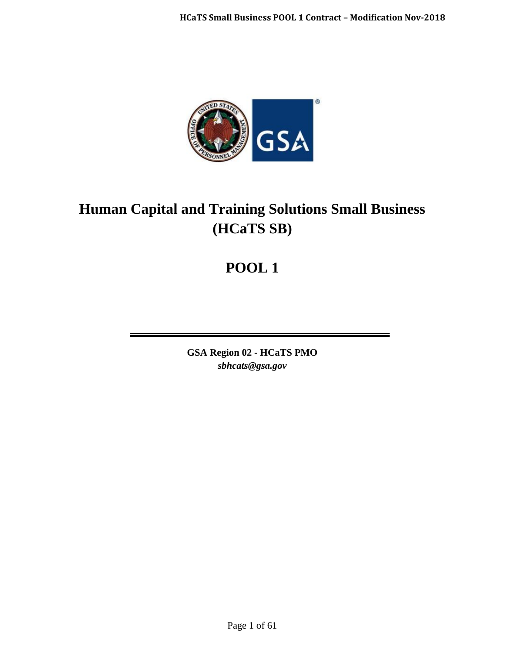

# **Human Capital and Training Solutions Small Business (HCaTS SB)**

# **POOL 1**

**GSA Region 02 - HCaTS PMO** *sbhcats@gsa.gov*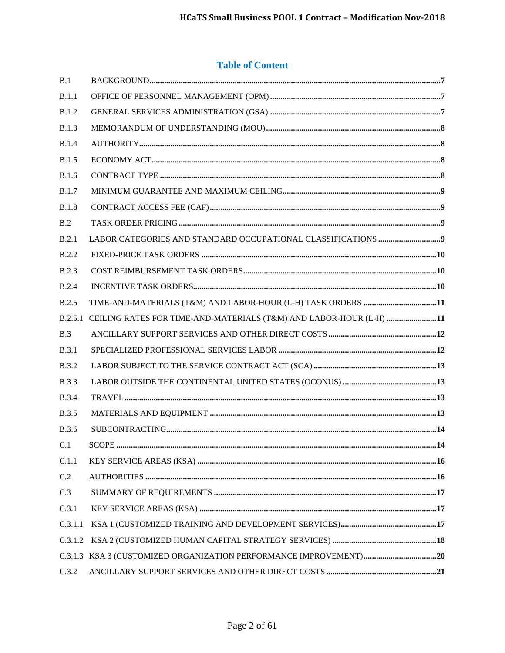# **Table of Content**

| B.1          |                                                                    |      |
|--------------|--------------------------------------------------------------------|------|
| B.1.1        |                                                                    |      |
| <b>B.1.2</b> |                                                                    |      |
| <b>B.1.3</b> |                                                                    |      |
| <b>B.1.4</b> |                                                                    |      |
| <b>B.1.5</b> |                                                                    |      |
| <b>B.1.6</b> |                                                                    |      |
| <b>B.1.7</b> |                                                                    |      |
| <b>B.1.8</b> |                                                                    |      |
| B.2          |                                                                    |      |
| B.2.1        |                                                                    |      |
| <b>B.2.2</b> |                                                                    |      |
| <b>B.2.3</b> |                                                                    |      |
| B.2.4        |                                                                    |      |
| <b>B.2.5</b> |                                                                    |      |
| B.2.5.1      | CEILING RATES FOR TIME-AND-MATERIALS (T&M) AND LABOR-HOUR (L-H) 11 |      |
| B.3          |                                                                    |      |
| <b>B.3.1</b> |                                                                    |      |
| <b>B.3.2</b> |                                                                    |      |
| <b>B.3.3</b> | ${\rm LABOR~OUTSIDE~THE~CONTINENTIAL~UNITED~STATES~(OCONUS)~13}$   |      |
| <b>B.3.4</b> |                                                                    |      |
| <b>B.3.5</b> |                                                                    |      |
| <b>B.3.6</b> |                                                                    |      |
| C.1          | SCOPE.                                                             | . 14 |
| C.1.1        |                                                                    |      |
| C.2          |                                                                    |      |
| C.3          |                                                                    |      |
| C.3.1        |                                                                    |      |
| C.3.1.1      |                                                                    |      |
| C.3.1.2      |                                                                    |      |
|              |                                                                    |      |
| C.3.2        |                                                                    |      |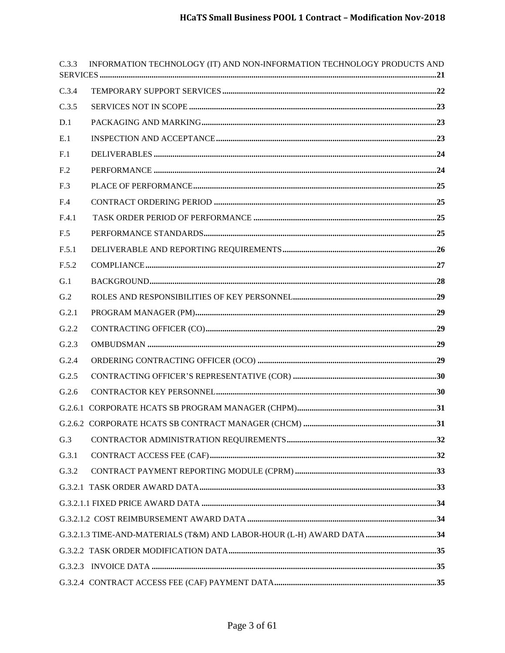| C.3.3           | INFORMATION TECHNOLOGY (IT) AND NON-INFORMATION TECHNOLOGY PRODUCTS AND                                                                                                                                                                                                                                                                                                                        |  |
|-----------------|------------------------------------------------------------------------------------------------------------------------------------------------------------------------------------------------------------------------------------------------------------------------------------------------------------------------------------------------------------------------------------------------|--|
| C.3.4           |                                                                                                                                                                                                                                                                                                                                                                                                |  |
| C.3.5           |                                                                                                                                                                                                                                                                                                                                                                                                |  |
| D.1             |                                                                                                                                                                                                                                                                                                                                                                                                |  |
| E.1             | $\textit{INSPECTION AND ACCEPTANCE} \textit{} \textit{} \textit{} \textit{} \textit{} \textit{} \textit{} \textit{} \textit{} \textit{} \textit{} \textit{} \textit{} \textit{} \textit{} \textit{} \textit{} \textit{} \textit{} \textit{} \textit{} \textit{} \textit{} \textit{} \textit{} \textit{} \textit{} \textit{} \textit{} \textit{} \textit{} \textit{} \textit{} \textit{} \text$ |  |
| F <sub>1</sub>  |                                                                                                                                                                                                                                                                                                                                                                                                |  |
| F <sub>.2</sub> |                                                                                                                                                                                                                                                                                                                                                                                                |  |
| F.3             |                                                                                                                                                                                                                                                                                                                                                                                                |  |
| F.4             |                                                                                                                                                                                                                                                                                                                                                                                                |  |
| F.4.1           |                                                                                                                                                                                                                                                                                                                                                                                                |  |
| F.5             |                                                                                                                                                                                                                                                                                                                                                                                                |  |
| F.5.1           |                                                                                                                                                                                                                                                                                                                                                                                                |  |
| F.5.2           |                                                                                                                                                                                                                                                                                                                                                                                                |  |
| G.1             |                                                                                                                                                                                                                                                                                                                                                                                                |  |
| G.2             |                                                                                                                                                                                                                                                                                                                                                                                                |  |
| G.2.1           |                                                                                                                                                                                                                                                                                                                                                                                                |  |
| G.2.2           |                                                                                                                                                                                                                                                                                                                                                                                                |  |
| G.2.3           |                                                                                                                                                                                                                                                                                                                                                                                                |  |
| G.2.4           |                                                                                                                                                                                                                                                                                                                                                                                                |  |
| G.2.5           |                                                                                                                                                                                                                                                                                                                                                                                                |  |
| G.2.6           |                                                                                                                                                                                                                                                                                                                                                                                                |  |
|                 |                                                                                                                                                                                                                                                                                                                                                                                                |  |
|                 |                                                                                                                                                                                                                                                                                                                                                                                                |  |
| G.3             |                                                                                                                                                                                                                                                                                                                                                                                                |  |
| G.3.1           |                                                                                                                                                                                                                                                                                                                                                                                                |  |
| G.3.2           |                                                                                                                                                                                                                                                                                                                                                                                                |  |
|                 |                                                                                                                                                                                                                                                                                                                                                                                                |  |
|                 |                                                                                                                                                                                                                                                                                                                                                                                                |  |
|                 |                                                                                                                                                                                                                                                                                                                                                                                                |  |
|                 | G.3.2.1.3 TIME-AND-MATERIALS (T&M) AND LABOR-HOUR (L-H) AWARD DATA34                                                                                                                                                                                                                                                                                                                           |  |
|                 |                                                                                                                                                                                                                                                                                                                                                                                                |  |
|                 |                                                                                                                                                                                                                                                                                                                                                                                                |  |
|                 |                                                                                                                                                                                                                                                                                                                                                                                                |  |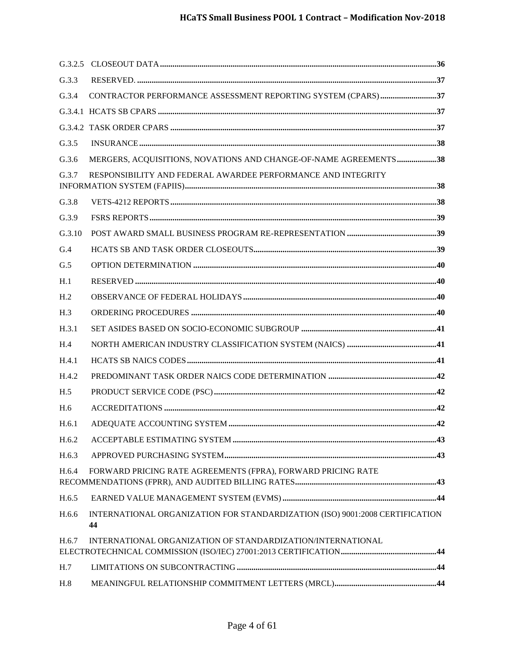| G.3.3           |                                                                                                                                                                 |  |
|-----------------|-----------------------------------------------------------------------------------------------------------------------------------------------------------------|--|
| G.3.4           |                                                                                                                                                                 |  |
|                 |                                                                                                                                                                 |  |
|                 |                                                                                                                                                                 |  |
| G.3.5           |                                                                                                                                                                 |  |
| G.3.6           | MERGERS, ACQUISITIONS, NOVATIONS AND CHANGE-OF-NAME AGREEMENTS38                                                                                                |  |
| G.3.7           | RESPONSIBILITY AND FEDERAL AWARDEE PERFORMANCE AND INTEGRITY<br>$\bf{INFORMATION SYSTEM}\ (FAPIIS) \bf{} \bf{} \bf{} \bf{} \bf{} \bf{} \bf{} \bf{} \bf{} \bf{}$ |  |
| G.3.8           |                                                                                                                                                                 |  |
| G.3.9           |                                                                                                                                                                 |  |
| G.3.10          |                                                                                                                                                                 |  |
| G.4             |                                                                                                                                                                 |  |
| G.5             |                                                                                                                                                                 |  |
| H.1             |                                                                                                                                                                 |  |
| H <sub>.2</sub> |                                                                                                                                                                 |  |
| H.3             |                                                                                                                                                                 |  |
| H.3.1           |                                                                                                                                                                 |  |
| H.4             |                                                                                                                                                                 |  |
| H.4.1           |                                                                                                                                                                 |  |
| H.4.2           |                                                                                                                                                                 |  |
| H.5             |                                                                                                                                                                 |  |
| H.6             |                                                                                                                                                                 |  |
| H.6.1           |                                                                                                                                                                 |  |
| H.6.2           |                                                                                                                                                                 |  |
| H.6.3           |                                                                                                                                                                 |  |
| H.6.4           | FORWARD PRICING RATE AGREEMENTS (FPRA), FORWARD PRICING RATE                                                                                                    |  |
| H.6.5           |                                                                                                                                                                 |  |
| H.6.6           | INTERNATIONAL ORGANIZATION FOR STANDARDIZATION (ISO) 9001:2008 CERTIFICATION<br>44                                                                              |  |
| H.6.7           | INTERNATIONAL ORGANIZATION OF STANDARDIZATION/INTERNATIONAL                                                                                                     |  |
| H.7             |                                                                                                                                                                 |  |
| H.8             |                                                                                                                                                                 |  |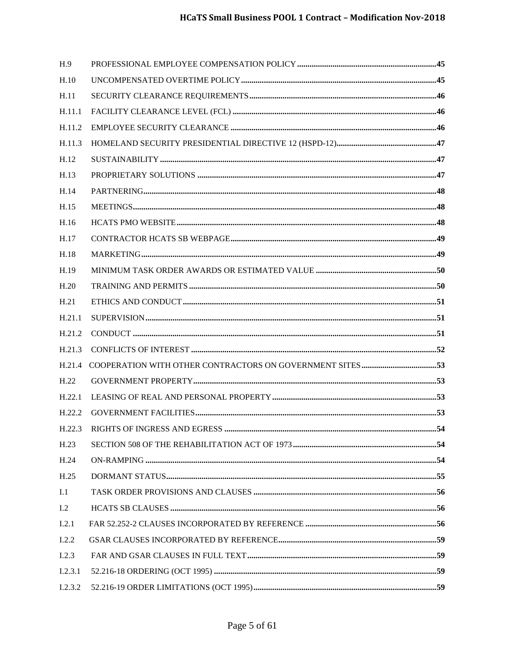| H.9            |     |
|----------------|-----|
| H.10           |     |
| H.11           |     |
| H.11.1         |     |
| H.11.2         |     |
| H.11.3         |     |
| H.12           |     |
| H.13           |     |
| H.14           |     |
| H.15           |     |
| H.16           |     |
| H.17           |     |
| H.18           |     |
| H.19           |     |
| H.20           |     |
| H.21           |     |
| H.21.1         |     |
| H.21.2         |     |
| H.21.3         |     |
| H.21.4         |     |
| H.22           |     |
| H.22.1         |     |
| H.22.2         |     |
|                | .54 |
| H.23           |     |
| H.24           |     |
| H.25           |     |
| I.1            |     |
| L <sub>2</sub> |     |
| I.2.1          |     |
| I.2.2          |     |
| I.2.3          |     |
| I.2.3.1        |     |
| I.2.3.2        |     |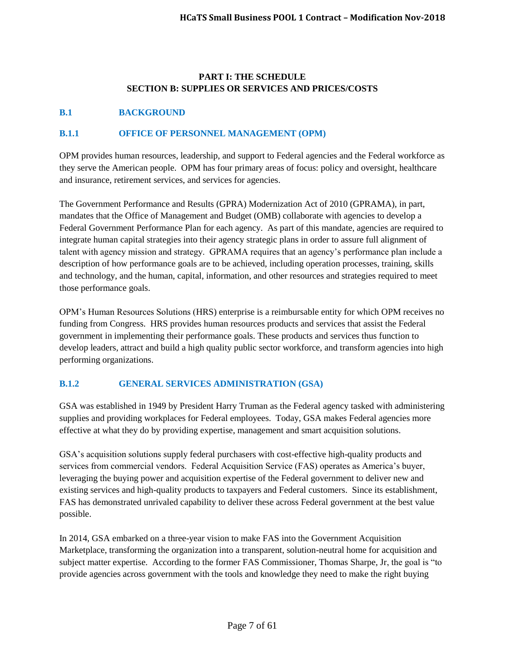#### **PART I: THE SCHEDULE SECTION B: SUPPLIES OR SERVICES AND PRICES/COSTS**

## <span id="page-6-0"></span>**B.1 BACKGROUND**

## <span id="page-6-1"></span>**B.1.1 OFFICE OF PERSONNEL MANAGEMENT (OPM)**

OPM provides human resources, leadership, and support to Federal agencies and the Federal workforce as they serve the American people. OPM has four primary areas of focus: policy and oversight, healthcare and insurance, retirement services, and services for agencies.

The Government Performance and Results (GPRA) Modernization Act of 2010 (GPRAMA), in part, mandates that the Office of Management and Budget (OMB) collaborate with agencies to develop a Federal Government Performance Plan for each agency. As part of this mandate, agencies are required to integrate human capital strategies into their agency strategic plans in order to assure full alignment of talent with agency mission and strategy. GPRAMA requires that an agency's performance plan include a description of how performance goals are to be achieved, including operation processes, training, skills and technology, and the human, capital, information, and other resources and strategies required to meet those performance goals.

OPM's Human Resources Solutions (HRS) enterprise is a reimbursable entity for which OPM receives no funding from Congress. HRS provides human resources products and services that assist the Federal government in implementing their performance goals. These products and services thus function to develop leaders, attract and build a high quality public sector workforce, and transform agencies into high performing organizations.

#### <span id="page-6-2"></span>**B.1.2 GENERAL SERVICES ADMINISTRATION (GSA)**

GSA was established in 1949 by President Harry Truman as the Federal agency tasked with administering supplies and providing workplaces for Federal employees. Today, GSA makes Federal agencies more effective at what they do by providing expertise, management and smart acquisition solutions.

GSA's acquisition solutions supply federal purchasers with cost-effective high-quality products and services from commercial vendors. Federal Acquisition Service (FAS) operates as America's buyer, leveraging the buying power and acquisition expertise of the Federal government to deliver new and existing services and high-quality products to taxpayers and Federal customers. Since its establishment, FAS has demonstrated unrivaled capability to deliver these across Federal government at the best value possible.

In 2014, GSA embarked on a three-year vision to make FAS into the Government Acquisition Marketplace, transforming the organization into a transparent, solution-neutral home for acquisition and subject matter expertise. According to the former FAS Commissioner, Thomas Sharpe, Jr, the goal is "to provide agencies across government with the tools and knowledge they need to make the right buying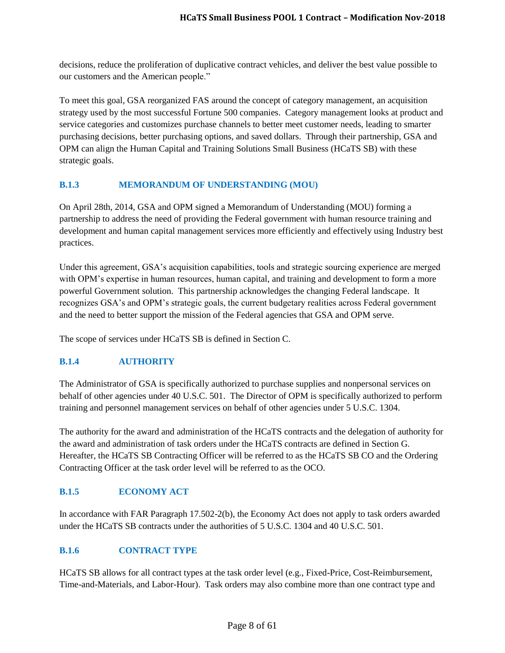decisions, reduce the proliferation of duplicative contract vehicles, and deliver the best value possible to our customers and the American people."

To meet this goal, GSA reorganized FAS around the concept of category management, an acquisition strategy used by the most successful Fortune 500 companies. Category management looks at product and service categories and customizes purchase channels to better meet customer needs, leading to smarter purchasing decisions, better purchasing options, and saved dollars. Through their partnership, GSA and OPM can align the Human Capital and Training Solutions Small Business (HCaTS SB) with these strategic goals.

## <span id="page-7-0"></span>**B.1.3 MEMORANDUM OF UNDERSTANDING (MOU)**

On April 28th, 2014, GSA and OPM signed a Memorandum of Understanding (MOU) forming a partnership to address the need of providing the Federal government with human resource training and development and human capital management services more efficiently and effectively using Industry best practices.

Under this agreement, GSA's acquisition capabilities, tools and strategic sourcing experience are merged with OPM's expertise in human resources, human capital, and training and development to form a more powerful Government solution. This partnership acknowledges the changing Federal landscape. It recognizes GSA's and OPM's strategic goals, the current budgetary realities across Federal government and the need to better support the mission of the Federal agencies that GSA and OPM serve.

The scope of services under HCaTS SB is defined in Section C.

# <span id="page-7-1"></span>**B.1.4 AUTHORITY**

The Administrator of GSA is specifically authorized to purchase supplies and nonpersonal services on behalf of other agencies under 40 U.S.C. 501. The Director of OPM is specifically authorized to perform training and personnel management services on behalf of other agencies under 5 U.S.C. 1304.

The authority for the award and administration of the HCaTS contracts and the delegation of authority for the award and administration of task orders under the HCaTS contracts are defined in Section G. Hereafter, the HCaTS SB Contracting Officer will be referred to as the HCaTS SB CO and the Ordering Contracting Officer at the task order level will be referred to as the OCO.

#### <span id="page-7-2"></span>**B.1.5 ECONOMY ACT**

In accordance with FAR Paragraph 17.502-2(b), the Economy Act does not apply to task orders awarded under the HCaTS SB contracts under the authorities of 5 U.S.C. 1304 and 40 U.S.C. 501.

#### <span id="page-7-3"></span>**B.1.6 CONTRACT TYPE**

HCaTS SB allows for all contract types at the task order level (e.g., Fixed-Price, Cost-Reimbursement, Time-and-Materials, and Labor-Hour). Task orders may also combine more than one contract type and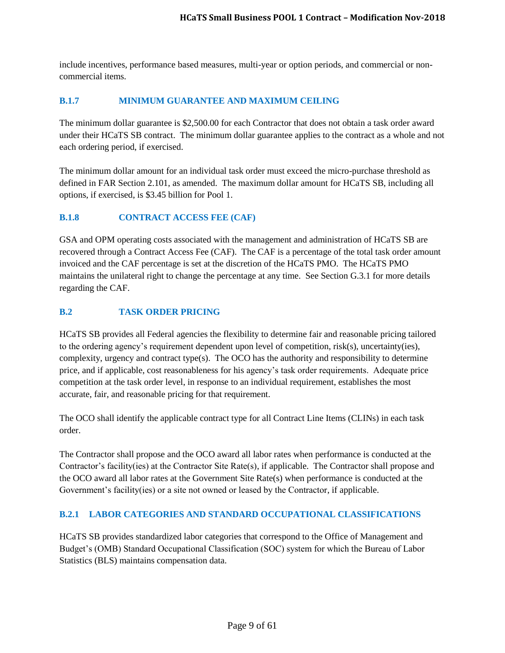include incentives, performance based measures, multi-year or option periods, and commercial or noncommercial items.

#### <span id="page-8-0"></span>**B.1.7 MINIMUM GUARANTEE AND MAXIMUM CEILING**

The minimum dollar guarantee is \$2,500.00 for each Contractor that does not obtain a task order award under their HCaTS SB contract. The minimum dollar guarantee applies to the contract as a whole and not each ordering period, if exercised.

The minimum dollar amount for an individual task order must exceed the micro-purchase threshold as defined in FAR Section 2.101, as amended. The maximum dollar amount for HCaTS SB, including all options, if exercised, is \$3.45 billion for Pool 1.

#### <span id="page-8-1"></span>**B.1.8 CONTRACT ACCESS FEE (CAF)**

GSA and OPM operating costs associated with the management and administration of HCaTS SB are recovered through a Contract Access Fee (CAF). The CAF is a percentage of the total task order amount invoiced and the CAF percentage is set at the discretion of the HCaTS PMO. The HCaTS PMO maintains the unilateral right to change the percentage at any time. See Section G.3.1 for more details regarding the CAF.

#### <span id="page-8-2"></span>**B.2 TASK ORDER PRICING**

HCaTS SB provides all Federal agencies the flexibility to determine fair and reasonable pricing tailored to the ordering agency's requirement dependent upon level of competition, risk(s), uncertainty(ies), complexity, urgency and contract type(s). The OCO has the authority and responsibility to determine price, and if applicable, cost reasonableness for his agency's task order requirements. Adequate price competition at the task order level, in response to an individual requirement, establishes the most accurate, fair, and reasonable pricing for that requirement.

The OCO shall identify the applicable contract type for all Contract Line Items (CLINs) in each task order.

The Contractor shall propose and the OCO award all labor rates when performance is conducted at the Contractor's facility(ies) at the Contractor Site Rate(s), if applicable. The Contractor shall propose and the OCO award all labor rates at the Government Site Rate(s) when performance is conducted at the Government's facility(ies) or a site not owned or leased by the Contractor, if applicable.

#### <span id="page-8-3"></span>**B.2.1 LABOR CATEGORIES AND STANDARD OCCUPATIONAL CLASSIFICATIONS**

HCaTS SB provides standardized labor categories that correspond to the Office of Management and Budget's (OMB) Standard Occupational Classification (SOC) system for which the Bureau of Labor Statistics (BLS) maintains compensation data.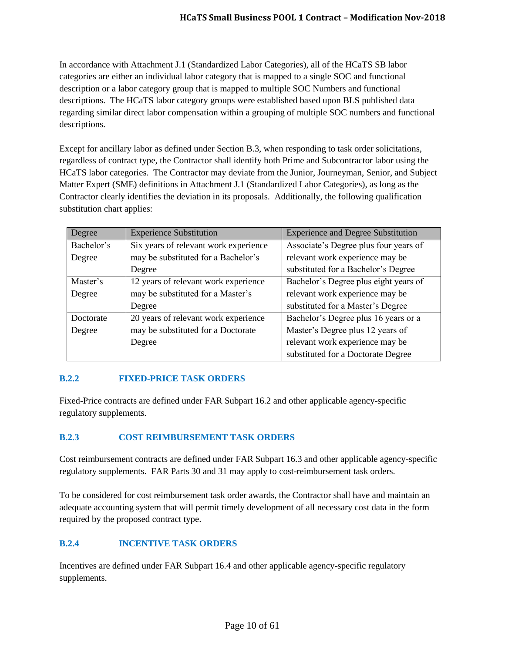In accordance with Attachment J.1 (Standardized Labor Categories), all of the HCaTS SB labor categories are either an individual labor category that is mapped to a single SOC and functional description or a labor category group that is mapped to multiple SOC Numbers and functional descriptions. The HCaTS labor category groups were established based upon BLS published data regarding similar direct labor compensation within a grouping of multiple SOC numbers and functional descriptions.

Except for ancillary labor as defined under Section B.3, when responding to task order solicitations, regardless of contract type, the Contractor shall identify both Prime and Subcontractor labor using the HCaTS labor categories. The Contractor may deviate from the Junior, Journeyman, Senior, and Subject Matter Expert (SME) definitions in Attachment J.1 (Standardized Labor Categories), as long as the Contractor clearly identifies the deviation in its proposals. Additionally, the following qualification substitution chart applies:

| Degree     | <b>Experience Substitution</b>        | <b>Experience and Degree Substitution</b> |
|------------|---------------------------------------|-------------------------------------------|
| Bachelor's | Six years of relevant work experience | Associate's Degree plus four years of     |
| Degree     | may be substituted for a Bachelor's   | relevant work experience may be           |
|            | Degree                                | substituted for a Bachelor's Degree       |
| Master's   | 12 years of relevant work experience  | Bachelor's Degree plus eight years of     |
| Degree     | may be substituted for a Master's     | relevant work experience may be           |
|            | Degree                                | substituted for a Master's Degree         |
| Doctorate  | 20 years of relevant work experience  | Bachelor's Degree plus 16 years or a      |
| Degree     | may be substituted for a Doctorate    | Master's Degree plus 12 years of          |
|            | Degree                                | relevant work experience may be           |
|            |                                       | substituted for a Doctorate Degree        |

# <span id="page-9-0"></span>**B.2.2 FIXED-PRICE TASK ORDERS**

Fixed-Price contracts are defined under FAR Subpart 16.2 and other applicable agency-specific regulatory supplements.

# <span id="page-9-1"></span>**B.2.3 COST REIMBURSEMENT TASK ORDERS**

Cost reimbursement contracts are defined under FAR Subpart 16.3 and other applicable agency-specific regulatory supplements. FAR Parts 30 and 31 may apply to cost-reimbursement task orders.

To be considered for cost reimbursement task order awards, the Contractor shall have and maintain an adequate accounting system that will permit timely development of all necessary cost data in the form required by the proposed contract type.

# <span id="page-9-2"></span>**B.2.4 INCENTIVE TASK ORDERS**

Incentives are defined under FAR Subpart 16.4 and other applicable agency-specific regulatory supplements.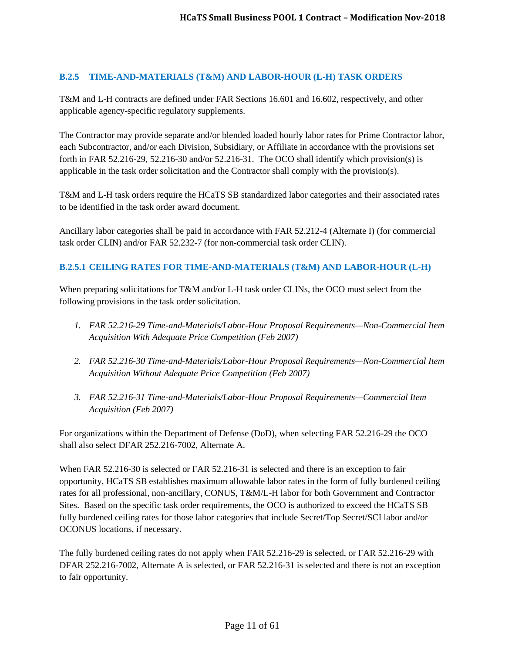## <span id="page-10-0"></span>**B.2.5 TIME-AND-MATERIALS (T&M) AND LABOR-HOUR (L-H) TASK ORDERS**

T&M and L-H contracts are defined under FAR Sections 16.601 and 16.602, respectively, and other applicable agency-specific regulatory supplements.

The Contractor may provide separate and/or blended loaded hourly labor rates for Prime Contractor labor, each Subcontractor, and/or each Division, Subsidiary, or Affiliate in accordance with the provisions set forth in FAR 52.216-29, 52.216-30 and/or 52.216-31. The OCO shall identify which provision(s) is applicable in the task order solicitation and the Contractor shall comply with the provision(s).

T&M and L-H task orders require the HCaTS SB standardized labor categories and their associated rates to be identified in the task order award document.

Ancillary labor categories shall be paid in accordance with FAR 52.212-4 (Alternate I) (for commercial task order CLIN) and/or FAR 52.232-7 (for non-commercial task order CLIN).

# <span id="page-10-1"></span>**B.2.5.1 CEILING RATES FOR TIME-AND-MATERIALS (T&M) AND LABOR-HOUR (L-H)**

When preparing solicitations for T&M and/or L-H task order CLINs, the OCO must select from the following provisions in the task order solicitation.

- *1. FAR 52.216-29 Time-and-Materials/Labor-Hour Proposal Requirements—Non-Commercial Item Acquisition With Adequate Price Competition (Feb 2007)*
- *2. FAR 52.216-30 Time-and-Materials/Labor-Hour Proposal Requirements—Non-Commercial Item Acquisition Without Adequate Price Competition (Feb 2007)*
- *3. FAR 52.216-31 Time-and-Materials/Labor-Hour Proposal Requirements—Commercial Item Acquisition (Feb 2007)*

For organizations within the Department of Defense (DoD), when selecting FAR 52.216-29 the OCO shall also select DFAR 252.216-7002, Alternate A.

When FAR 52.216-30 is selected or FAR 52.216-31 is selected and there is an exception to fair opportunity, HCaTS SB establishes maximum allowable labor rates in the form of fully burdened ceiling rates for all professional, non-ancillary, CONUS, T&M/L-H labor for both Government and Contractor Sites. Based on the specific task order requirements, the OCO is authorized to exceed the HCaTS SB fully burdened ceiling rates for those labor categories that include Secret/Top Secret/SCI labor and/or OCONUS locations, if necessary.

The fully burdened ceiling rates do not apply when FAR 52.216-29 is selected, or FAR 52.216-29 with DFAR 252.216-7002, Alternate A is selected, or FAR 52.216-31 is selected and there is not an exception to fair opportunity.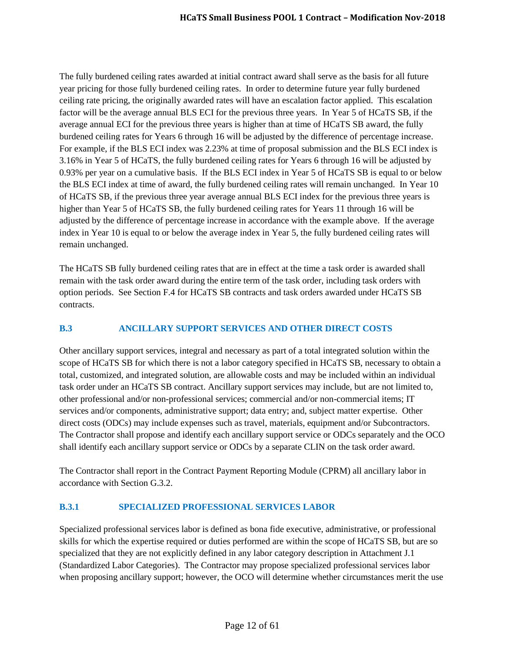The fully burdened ceiling rates awarded at initial contract award shall serve as the basis for all future year pricing for those fully burdened ceiling rates. In order to determine future year fully burdened ceiling rate pricing, the originally awarded rates will have an escalation factor applied. This escalation factor will be the average annual BLS ECI for the previous three years. In Year 5 of HCaTS SB, if the average annual ECI for the previous three years is higher than at time of HCaTS SB award, the fully burdened ceiling rates for Years 6 through 16 will be adjusted by the difference of percentage increase. For example, if the BLS ECI index was 2.23% at time of proposal submission and the BLS ECI index is 3.16% in Year 5 of HCaTS, the fully burdened ceiling rates for Years 6 through 16 will be adjusted by 0.93% per year on a cumulative basis. If the BLS ECI index in Year 5 of HCaTS SB is equal to or below the BLS ECI index at time of award, the fully burdened ceiling rates will remain unchanged. In Year 10 of HCaTS SB, if the previous three year average annual BLS ECI index for the previous three years is higher than Year 5 of HCaTS SB, the fully burdened ceiling rates for Years 11 through 16 will be adjusted by the difference of percentage increase in accordance with the example above. If the average index in Year 10 is equal to or below the average index in Year 5, the fully burdened ceiling rates will remain unchanged.

The HCaTS SB fully burdened ceiling rates that are in effect at the time a task order is awarded shall remain with the task order award during the entire term of the task order, including task orders with option periods. See Section F.4 for HCaTS SB contracts and task orders awarded under HCaTS SB contracts.

# <span id="page-11-0"></span>**B.3 ANCILLARY SUPPORT SERVICES AND OTHER DIRECT COSTS**

Other ancillary support services, integral and necessary as part of a total integrated solution within the scope of HCaTS SB for which there is not a labor category specified in HCaTS SB, necessary to obtain a total, customized, and integrated solution, are allowable costs and may be included within an individual task order under an HCaTS SB contract. Ancillary support services may include, but are not limited to, other professional and/or non-professional services; commercial and/or non-commercial items; IT services and/or components, administrative support; data entry; and, subject matter expertise. Other direct costs (ODCs) may include expenses such as travel, materials, equipment and/or Subcontractors. The Contractor shall propose and identify each ancillary support service or ODCs separately and the OCO shall identify each ancillary support service or ODCs by a separate CLIN on the task order award.

The Contractor shall report in the Contract Payment Reporting Module (CPRM) all ancillary labor in accordance with Section G.3.2.

#### <span id="page-11-1"></span>**B.3.1 SPECIALIZED PROFESSIONAL SERVICES LABOR**

Specialized professional services labor is defined as bona fide executive, administrative, or professional skills for which the expertise required or duties performed are within the scope of HCaTS SB, but are so specialized that they are not explicitly defined in any labor category description in Attachment J.1 (Standardized Labor Categories). The Contractor may propose specialized professional services labor when proposing ancillary support; however, the OCO will determine whether circumstances merit the use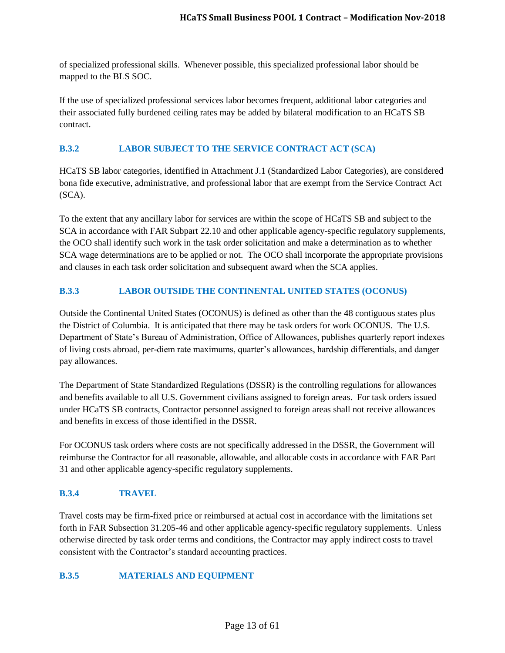of specialized professional skills. Whenever possible, this specialized professional labor should be mapped to the BLS SOC.

If the use of specialized professional services labor becomes frequent, additional labor categories and their associated fully burdened ceiling rates may be added by bilateral modification to an HCaTS SB contract.

#### <span id="page-12-0"></span>**B.3.2 LABOR SUBJECT TO THE SERVICE CONTRACT ACT (SCA)**

HCaTS SB labor categories, identified in Attachment J.1 (Standardized Labor Categories), are considered bona fide executive, administrative, and professional labor that are exempt from the Service Contract Act (SCA).

To the extent that any ancillary labor for services are within the scope of HCaTS SB and subject to the SCA in accordance with FAR Subpart 22.10 and other applicable agency-specific regulatory supplements, the OCO shall identify such work in the task order solicitation and make a determination as to whether SCA wage determinations are to be applied or not. The OCO shall incorporate the appropriate provisions and clauses in each task order solicitation and subsequent award when the SCA applies.

## <span id="page-12-1"></span>**B.3.3 LABOR OUTSIDE THE CONTINENTAL UNITED STATES (OCONUS)**

Outside the Continental United States (OCONUS) is defined as other than the 48 contiguous states plus the District of Columbia. It is anticipated that there may be task orders for work OCONUS. The U.S. Department of State's Bureau of Administration, Office of Allowances, publishes quarterly report indexes of living costs abroad, per-diem rate maximums, quarter's allowances, hardship differentials, and danger pay allowances.

The Department of State Standardized Regulations (DSSR) is the controlling regulations for allowances and benefits available to all U.S. Government civilians assigned to foreign areas. For task orders issued under HCaTS SB contracts, Contractor personnel assigned to foreign areas shall not receive allowances and benefits in excess of those identified in the DSSR.

For OCONUS task orders where costs are not specifically addressed in the DSSR, the Government will reimburse the Contractor for all reasonable, allowable, and allocable costs in accordance with FAR Part 31 and other applicable agency-specific regulatory supplements.

# <span id="page-12-2"></span>**B.3.4 TRAVEL**

Travel costs may be firm-fixed price or reimbursed at actual cost in accordance with the limitations set forth in FAR Subsection 31.205-46 and other applicable agency-specific regulatory supplements. Unless otherwise directed by task order terms and conditions, the Contractor may apply indirect costs to travel consistent with the Contractor's standard accounting practices.

#### <span id="page-12-3"></span>**B.3.5 MATERIALS AND EQUIPMENT**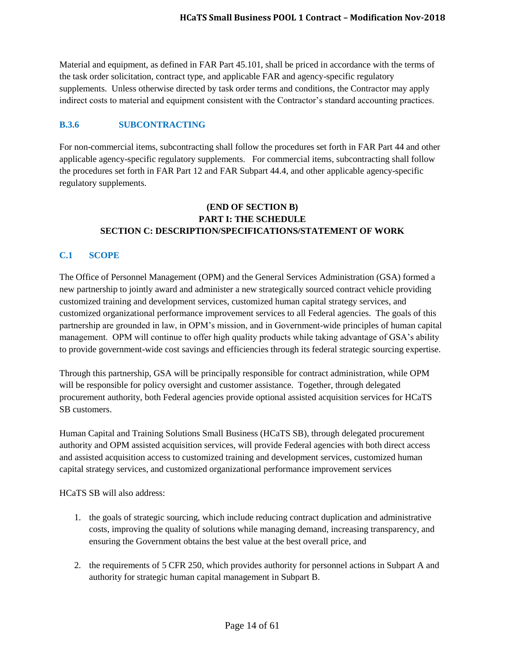Material and equipment, as defined in FAR Part 45.101, shall be priced in accordance with the terms of the task order solicitation, contract type, and applicable FAR and agency-specific regulatory supplements. Unless otherwise directed by task order terms and conditions, the Contractor may apply indirect costs to material and equipment consistent with the Contractor's standard accounting practices.

## <span id="page-13-0"></span>**B.3.6 SUBCONTRACTING**

For non-commercial items, subcontracting shall follow the procedures set forth in FAR Part 44 and other applicable agency-specific regulatory supplements. For commercial items, subcontracting shall follow the procedures set forth in FAR Part 12 and FAR Subpart 44.4, and other applicable agency-specific regulatory supplements.

## **(END OF SECTION B) PART I: THE SCHEDULE SECTION C: DESCRIPTION/SPECIFICATIONS/STATEMENT OF WORK**

#### <span id="page-13-1"></span>**C.1 SCOPE**

The Office of Personnel Management (OPM) and the General Services Administration (GSA) formed a new partnership to jointly award and administer a new strategically sourced contract vehicle providing customized training and development services, customized human capital strategy services, and customized organizational performance improvement services to all Federal agencies. The goals of this partnership are grounded in law, in OPM's mission, and in Government-wide principles of human capital management. OPM will continue to offer high quality products while taking advantage of GSA's ability to provide government-wide cost savings and efficiencies through its federal strategic sourcing expertise.

Through this partnership, GSA will be principally responsible for contract administration, while OPM will be responsible for policy oversight and customer assistance. Together, through delegated procurement authority, both Federal agencies provide optional assisted acquisition services for HCaTS SB customers.

Human Capital and Training Solutions Small Business (HCaTS SB), through delegated procurement authority and OPM assisted acquisition services, will provide Federal agencies with both direct access and assisted acquisition access to customized training and development services, customized human capital strategy services, and customized organizational performance improvement services

HCaTS SB will also address:

- 1. the goals of strategic sourcing, which include reducing contract duplication and administrative costs, improving the quality of solutions while managing demand, increasing transparency, and ensuring the Government obtains the best value at the best overall price, and
- 2. the requirements of 5 CFR 250, which provides authority for personnel actions in Subpart A and authority for strategic human capital management in Subpart B.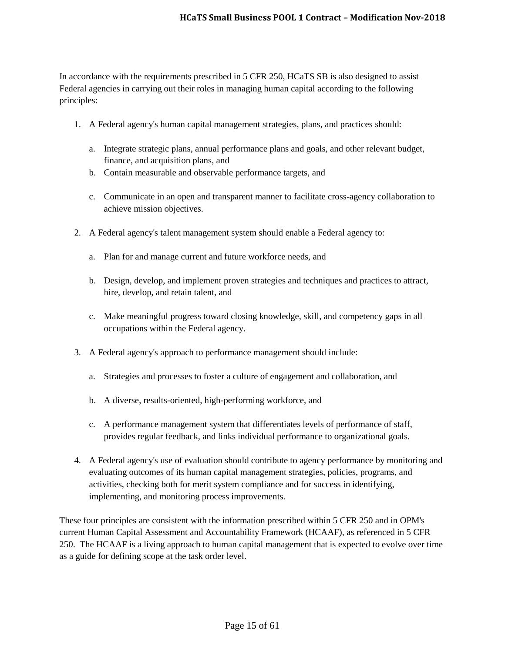In accordance with the requirements prescribed in 5 CFR 250, HCaTS SB is also designed to assist Federal agencies in carrying out their roles in managing human capital according to the following principles:

- 1. A Federal agency's human capital management strategies, plans, and practices should:
	- a. Integrate strategic plans, annual performance plans and goals, and other relevant budget, finance, and acquisition plans, and
	- b. Contain measurable and observable performance targets, and
	- c. Communicate in an open and transparent manner to facilitate cross-agency collaboration to achieve mission objectives.
- 2. A Federal agency's talent management system should enable a Federal agency to:
	- a. Plan for and manage current and future workforce needs, and
	- b. Design, develop, and implement proven strategies and techniques and practices to attract, hire, develop, and retain talent, and
	- c. Make meaningful progress toward closing knowledge, skill, and competency gaps in all occupations within the Federal agency.
- 3. A Federal agency's approach to performance management should include:
	- a. Strategies and processes to foster a culture of engagement and collaboration, and
	- b. A diverse, results-oriented, high-performing workforce, and
	- c. A performance management system that differentiates levels of performance of staff, provides regular feedback, and links individual performance to organizational goals.
- 4. A Federal agency's use of evaluation should contribute to agency performance by monitoring and evaluating outcomes of its human capital management strategies, policies, programs, and activities, checking both for merit system compliance and for success in identifying, implementing, and monitoring process improvements.

These four principles are consistent with the information prescribed within 5 CFR 250 and in OPM's current Human Capital Assessment and Accountability Framework (HCAAF), as referenced in 5 CFR 250. The HCAAF is a living approach to human capital management that is expected to evolve over time as a guide for defining scope at the task order level.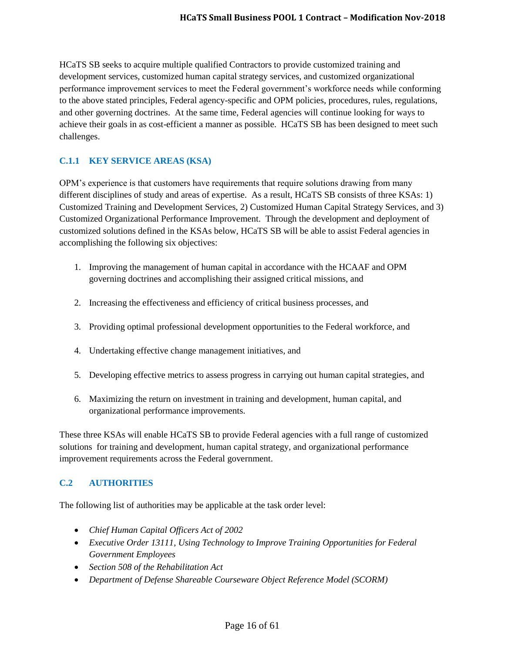HCaTS SB seeks to acquire multiple qualified Contractors to provide customized training and development services, customized human capital strategy services, and customized organizational performance improvement services to meet the Federal government's workforce needs while conforming to the above stated principles, Federal agency-specific and OPM policies, procedures, rules, regulations, and other governing doctrines. At the same time, Federal agencies will continue looking for ways to achieve their goals in as cost-efficient a manner as possible. HCaTS SB has been designed to meet such challenges.

## <span id="page-15-0"></span>**C.1.1 KEY SERVICE AREAS (KSA)**

OPM's experience is that customers have requirements that require solutions drawing from many different disciplines of study and areas of expertise. As a result, HCaTS SB consists of three KSAs: 1) Customized Training and Development Services, 2) Customized Human Capital Strategy Services, and 3) Customized Organizational Performance Improvement. Through the development and deployment of customized solutions defined in the KSAs below, HCaTS SB will be able to assist Federal agencies in accomplishing the following six objectives:

- 1. Improving the management of human capital in accordance with the HCAAF and OPM governing doctrines and accomplishing their assigned critical missions, and
- 2. Increasing the effectiveness and efficiency of critical business processes, and
- 3. Providing optimal professional development opportunities to the Federal workforce, and
- 4. Undertaking effective change management initiatives, and
- 5. Developing effective metrics to assess progress in carrying out human capital strategies, and
- 6. Maximizing the return on investment in training and development, human capital, and organizational performance improvements.

These three KSAs will enable HCaTS SB to provide Federal agencies with a full range of customized solutions for training and development, human capital strategy, and organizational performance improvement requirements across the Federal government.

#### <span id="page-15-1"></span>**C.2 AUTHORITIES**

The following list of authorities may be applicable at the task order level:

- *Chief Human Capital Officers Act of 2002*
- *Executive Order 13111, Using Technology to Improve Training Opportunities for Federal Government Employees*
- *Section 508 of the Rehabilitation Act*
- *Department of Defense Shareable Courseware Object Reference Model (SCORM)*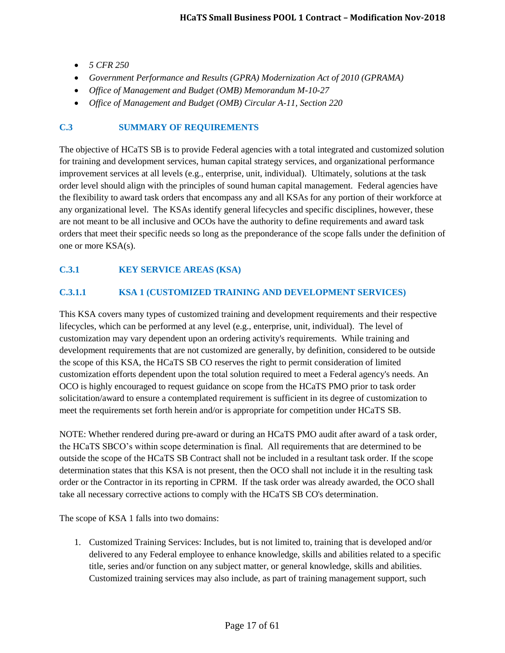- *5 CFR 250*
- *Government Performance and Results (GPRA) Modernization Act of 2010 (GPRAMA)*
- *Office of Management and Budget (OMB) Memorandum M-10-27*
- *Office of Management and Budget (OMB) Circular A-11, Section 220*

#### <span id="page-16-0"></span>**C.3 SUMMARY OF REQUIREMENTS**

The objective of HCaTS SB is to provide Federal agencies with a total integrated and customized solution for training and development services, human capital strategy services, and organizational performance improvement services at all levels (e.g., enterprise, unit, individual). Ultimately, solutions at the task order level should align with the principles of sound human capital management. Federal agencies have the flexibility to award task orders that encompass any and all KSAs for any portion of their workforce at any organizational level. The KSAs identify general lifecycles and specific disciplines, however, these are not meant to be all inclusive and OCOs have the authority to define requirements and award task orders that meet their specific needs so long as the preponderance of the scope falls under the definition of one or more KSA(s).

# <span id="page-16-1"></span>**C.3.1 KEY SERVICE AREAS (KSA)**

# <span id="page-16-2"></span>**C.3.1.1 KSA 1 (CUSTOMIZED TRAINING AND DEVELOPMENT SERVICES)**

This KSA covers many types of customized training and development requirements and their respective lifecycles, which can be performed at any level (e.g., enterprise, unit, individual). The level of customization may vary dependent upon an ordering activity's requirements. While training and development requirements that are not customized are generally, by definition, considered to be outside the scope of this KSA, the HCaTS SB CO reserves the right to permit consideration of limited customization efforts dependent upon the total solution required to meet a Federal agency's needs. An OCO is highly encouraged to request guidance on scope from the HCaTS PMO prior to task order solicitation/award to ensure a contemplated requirement is sufficient in its degree of customization to meet the requirements set forth herein and/or is appropriate for competition under HCaTS SB.

NOTE: Whether rendered during pre-award or during an HCaTS PMO audit after award of a task order, the HCaTS SBCO's within scope determination is final. All requirements that are determined to be outside the scope of the HCaTS SB Contract shall not be included in a resultant task order. If the scope determination states that this KSA is not present, then the OCO shall not include it in the resulting task order or the Contractor in its reporting in CPRM. If the task order was already awarded, the OCO shall take all necessary corrective actions to comply with the HCaTS SB CO's determination.

The scope of KSA 1 falls into two domains:

1. Customized Training Services: Includes, but is not limited to, training that is developed and/or delivered to any Federal employee to enhance knowledge, skills and abilities related to a specific title, series and/or function on any subject matter, or general knowledge, skills and abilities. Customized training services may also include, as part of training management support, such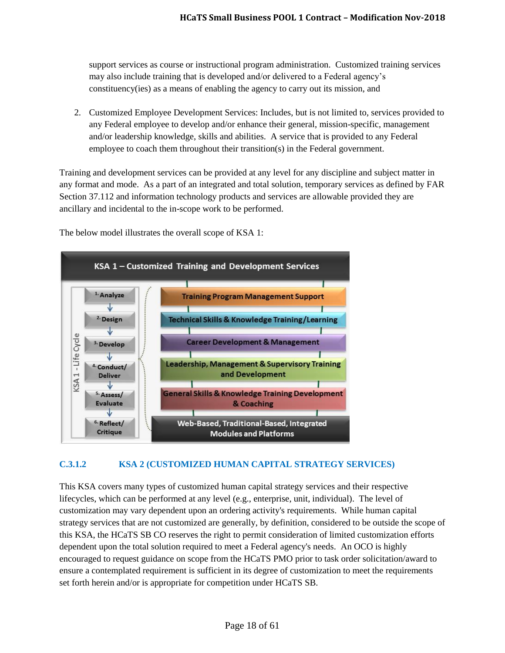support services as course or instructional program administration. Customized training services may also include training that is developed and/or delivered to a Federal agency's constituency(ies) as a means of enabling the agency to carry out its mission, and

2. Customized Employee Development Services: Includes, but is not limited to, services provided to any Federal employee to develop and/or enhance their general, mission-specific, management and/or leadership knowledge, skills and abilities. A service that is provided to any Federal employee to coach them throughout their transition(s) in the Federal government.

Training and development services can be provided at any level for any discipline and subject matter in any format and mode. As a part of an integrated and total solution, temporary services as defined by FAR Section 37.112 and information technology products and services are allowable provided they are ancillary and incidental to the in-scope work to be performed.



The below model illustrates the overall scope of KSA 1:

# <span id="page-17-0"></span>**C.3.1.2 KSA 2 (CUSTOMIZED HUMAN CAPITAL STRATEGY SERVICES)**

This KSA covers many types of customized human capital strategy services and their respective lifecycles, which can be performed at any level (e.g., enterprise, unit, individual). The level of customization may vary dependent upon an ordering activity's requirements. While human capital strategy services that are not customized are generally, by definition, considered to be outside the scope of this KSA, the HCaTS SB CO reserves the right to permit consideration of limited customization efforts dependent upon the total solution required to meet a Federal agency's needs. An OCO is highly encouraged to request guidance on scope from the HCaTS PMO prior to task order solicitation/award to ensure a contemplated requirement is sufficient in its degree of customization to meet the requirements set forth herein and/or is appropriate for competition under HCaTS SB.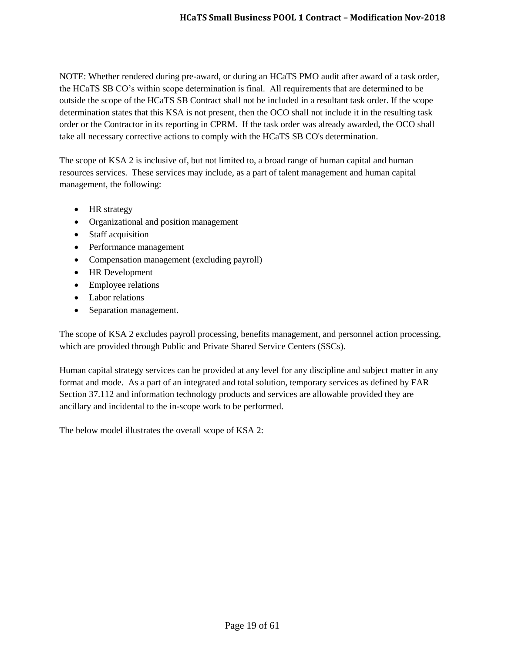NOTE: Whether rendered during pre-award, or during an HCaTS PMO audit after award of a task order, the HCaTS SB CO's within scope determination is final. All requirements that are determined to be outside the scope of the HCaTS SB Contract shall not be included in a resultant task order. If the scope determination states that this KSA is not present, then the OCO shall not include it in the resulting task order or the Contractor in its reporting in CPRM. If the task order was already awarded, the OCO shall take all necessary corrective actions to comply with the HCaTS SB CO's determination.

The scope of KSA 2 is inclusive of, but not limited to, a broad range of human capital and human resources services. These services may include, as a part of talent management and human capital management, the following:

- HR strategy
- Organizational and position management
- Staff acquisition
- Performance management
- Compensation management (excluding payroll)
- HR Development
- Employee relations
- Labor relations
- Separation management.

The scope of KSA 2 excludes payroll processing, benefits management, and personnel action processing, which are provided through Public and Private Shared Service Centers (SSCs).

Human capital strategy services can be provided at any level for any discipline and subject matter in any format and mode. As a part of an integrated and total solution, temporary services as defined by FAR Section 37.112 and information technology products and services are allowable provided they are ancillary and incidental to the in-scope work to be performed.

The below model illustrates the overall scope of KSA 2: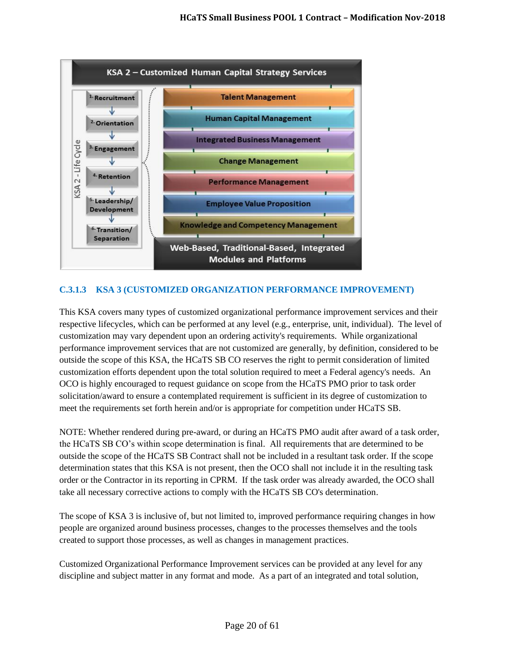

# <span id="page-19-0"></span>**C.3.1.3 KSA 3 (CUSTOMIZED ORGANIZATION PERFORMANCE IMPROVEMENT)**

This KSA covers many types of customized organizational performance improvement services and their respective lifecycles, which can be performed at any level (e.g., enterprise, unit, individual). The level of customization may vary dependent upon an ordering activity's requirements. While organizational performance improvement services that are not customized are generally, by definition, considered to be outside the scope of this KSA, the HCaTS SB CO reserves the right to permit consideration of limited customization efforts dependent upon the total solution required to meet a Federal agency's needs. An OCO is highly encouraged to request guidance on scope from the HCaTS PMO prior to task order solicitation/award to ensure a contemplated requirement is sufficient in its degree of customization to meet the requirements set forth herein and/or is appropriate for competition under HCaTS SB.

NOTE: Whether rendered during pre-award, or during an HCaTS PMO audit after award of a task order, the HCaTS SB CO's within scope determination is final. All requirements that are determined to be outside the scope of the HCaTS SB Contract shall not be included in a resultant task order. If the scope determination states that this KSA is not present, then the OCO shall not include it in the resulting task order or the Contractor in its reporting in CPRM. If the task order was already awarded, the OCO shall take all necessary corrective actions to comply with the HCaTS SB CO's determination.

The scope of KSA 3 is inclusive of, but not limited to, improved performance requiring changes in how people are organized around business processes, changes to the processes themselves and the tools created to support those processes, as well as changes in management practices.

Customized Organizational Performance Improvement services can be provided at any level for any discipline and subject matter in any format and mode. As a part of an integrated and total solution,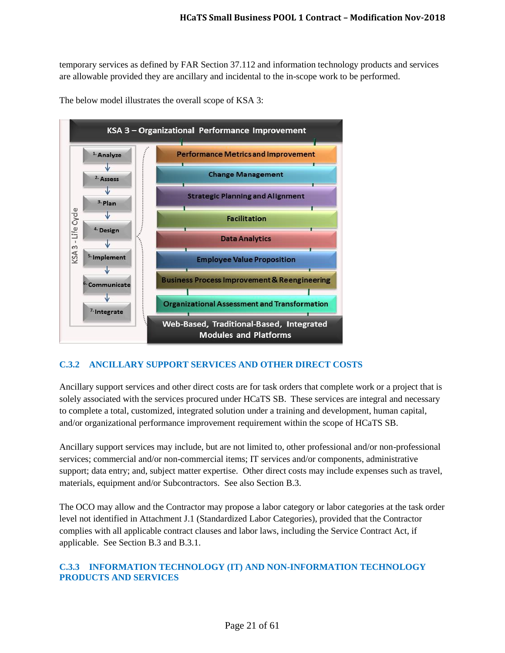temporary services as defined by FAR Section 37.112 and information technology products and services are allowable provided they are ancillary and incidental to the in-scope work to be performed.



The below model illustrates the overall scope of KSA 3:

# <span id="page-20-0"></span>**C.3.2 ANCILLARY SUPPORT SERVICES AND OTHER DIRECT COSTS**

Ancillary support services and other direct costs are for task orders that complete work or a project that is solely associated with the services procured under HCaTS SB. These services are integral and necessary to complete a total, customized, integrated solution under a training and development, human capital, and/or organizational performance improvement requirement within the scope of HCaTS SB.

Ancillary support services may include, but are not limited to, other professional and/or non-professional services; commercial and/or non-commercial items; IT services and/or components, administrative support; data entry; and, subject matter expertise. Other direct costs may include expenses such as travel, materials, equipment and/or Subcontractors. See also Section B.3.

The OCO may allow and the Contractor may propose a labor category or labor categories at the task order level not identified in Attachment J.1 (Standardized Labor Categories), provided that the Contractor complies with all applicable contract clauses and labor laws, including the Service Contract Act, if applicable. See Section B.3 and B.3.1.

## <span id="page-20-1"></span>**C.3.3 INFORMATION TECHNOLOGY (IT) AND NON-INFORMATION TECHNOLOGY PRODUCTS AND SERVICES**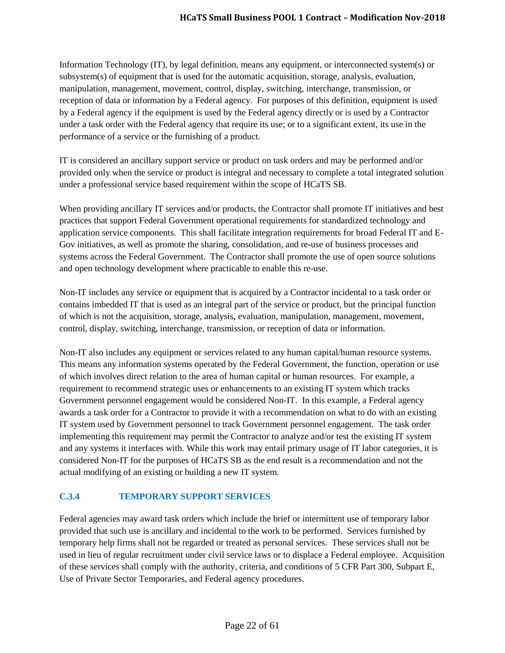Information Technology (IT), by legal definition, means any equipment, or interconnected system(s) or subsystem(s) of equipment that is used for the automatic acquisition, storage, analysis, evaluation, manipulation, management, movement, control, display, switching, interchange, transmission, or reception of data or information by a Federal agency. For purposes of this definition, equipment is used by a Federal agency if the equipment is used by the Federal agency directly or is used by a Contractor under a task order with the Federal agency that require its use; or to a significant extent, its use in the performance of a service or the furnishing of a product.

IT is considered an ancillary support service or product on task orders and may be performed and/or provided only when the service or product is integral and necessary to complete a total integrated solution under a professional service based requirement within the scope of HCaTS SB.

When providing ancillary IT services and/or products, the Contractor shall promote IT initiatives and best practices that support Federal Government operational requirements for standardized technology and application service components. This shall facilitate integration requirements for broad Federal IT and E-Gov initiatives, as well as promote the sharing, consolidation, and re-use of business processes and systems across the Federal Government. The Contractor shall promote the use of open source solutions and open technology development where practicable to enable this re-use.

Non-IT includes any service or equipment that is acquired by a Contractor incidental to a task order or contains imbedded IT that is used as an integral part of the service or product, but the principal function of which is not the acquisition, storage, analysis, evaluation, manipulation, management, movement, control, display, switching, interchange, transmission, or reception of data or information.

Non-IT also includes any equipment or services related to any human capital/human resource systems. This means any information systems operated by the Federal Government, the function, operation or use of which involves direct relation to the area of human capital or human resources. For example, a requirement to recommend strategic uses or enhancements to an existing IT system which tracks Government personnel engagement would be considered Non-IT. In this example, a Federal agency awards a task order for a Contractor to provide it with a recommendation on what to do with an existing IT system used by Government personnel to track Government personnel engagement. The task order implementing this requirement may permit the Contractor to analyze and/or test the existing IT system and any systems it interfaces with. While this work may entail primary usage of IT labor categories, it is considered Non-IT for the purposes of HCaTS SB as the end result is a recommendation and not the actual modifying of an existing or building a new IT system.

# <span id="page-21-0"></span>**C.3.4 TEMPORARY SUPPORT SERVICES**

Federal agencies may award task orders which include the brief or intermittent use of temporary labor provided that such use is ancillary and incidental to the work to be performed. Services furnished by temporary help firms shall not be regarded or treated as personal services. These services shall not be used in lieu of regular recruitment under civil service laws or to displace a Federal employee. Acquisition of these services shall comply with the authority, criteria, and conditions of 5 CFR Part 300, Subpart E, Use of Private Sector Temporaries, and Federal agency procedures.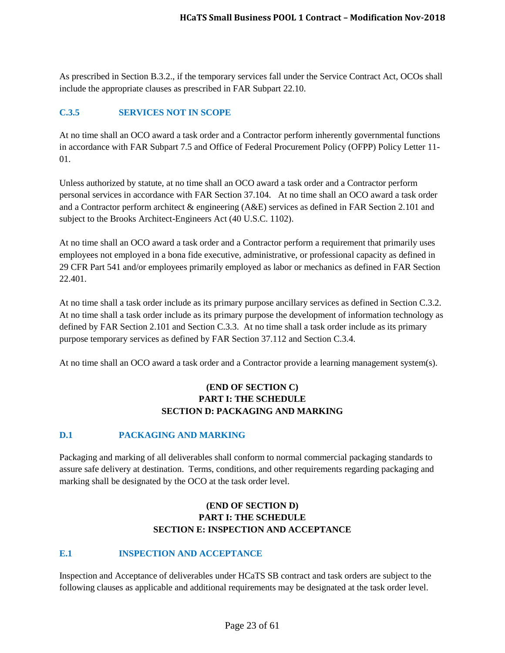As prescribed in Section B.3.2., if the temporary services fall under the Service Contract Act, OCOs shall include the appropriate clauses as prescribed in FAR Subpart 22.10.

## <span id="page-22-0"></span>**C.3.5 SERVICES NOT IN SCOPE**

At no time shall an OCO award a task order and a Contractor perform inherently governmental functions in accordance with FAR Subpart 7.5 and Office of Federal Procurement Policy (OFPP) Policy Letter 11- 01.

Unless authorized by statute, at no time shall an OCO award a task order and a Contractor perform personal services in accordance with FAR Section 37.104. At no time shall an OCO award a task order and a Contractor perform architect & engineering (A&E) services as defined in FAR Section 2.101 and subject to the Brooks Architect-Engineers Act (40 U.S.C. 1102).

At no time shall an OCO award a task order and a Contractor perform a requirement that primarily uses employees not employed in a bona fide executive, administrative, or professional capacity as defined in 29 CFR Part 541 and/or employees primarily employed as labor or mechanics as defined in FAR Section 22.401.

At no time shall a task order include as its primary purpose ancillary services as defined in Section C.3.2. At no time shall a task order include as its primary purpose the development of information technology as defined by FAR Section 2.101 and Section C.3.3. At no time shall a task order include as its primary purpose temporary services as defined by FAR Section 37.112 and Section C.3.4.

At no time shall an OCO award a task order and a Contractor provide a learning management system(s).

# **(END OF SECTION C) PART I: THE SCHEDULE SECTION D: PACKAGING AND MARKING**

#### <span id="page-22-1"></span>**D.1 PACKAGING AND MARKING**

Packaging and marking of all deliverables shall conform to normal commercial packaging standards to assure safe delivery at destination. Terms, conditions, and other requirements regarding packaging and marking shall be designated by the OCO at the task order level.

# **(END OF SECTION D) PART I: THE SCHEDULE SECTION E: INSPECTION AND ACCEPTANCE**

# <span id="page-22-2"></span>**E.1 INSPECTION AND ACCEPTANCE**

Inspection and Acceptance of deliverables under HCaTS SB contract and task orders are subject to the following clauses as applicable and additional requirements may be designated at the task order level.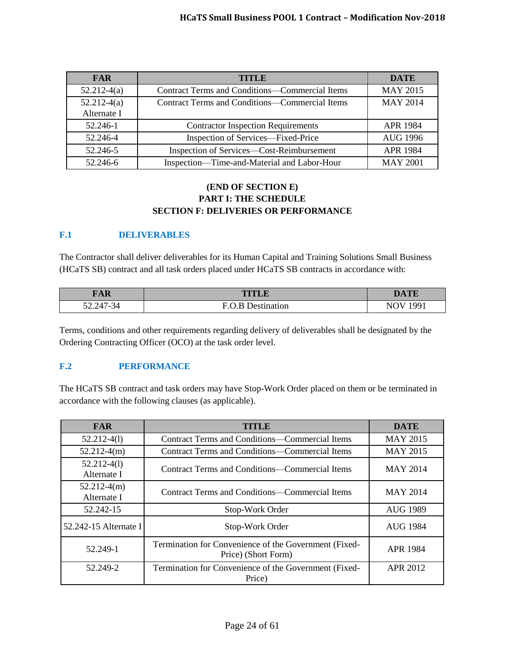| <b>FAR</b>    | <b>TITLE</b>                                          | <b>DATE</b>     |
|---------------|-------------------------------------------------------|-----------------|
| $52.212-4(a)$ | <b>Contract Terms and Conditions—Commercial Items</b> | <b>MAY 2015</b> |
| $52.212-4(a)$ | <b>Contract Terms and Conditions—Commercial Items</b> | <b>MAY 2014</b> |
| Alternate I   |                                                       |                 |
| 52.246-1      | <b>Contractor Inspection Requirements</b>             | <b>APR 1984</b> |
| 52.246-4      | Inspection of Services—Fixed-Price                    | <b>AUG 1996</b> |
| 52.246-5      | Inspection of Services—Cost-Reimbursement             | <b>APR 1984</b> |
| 52.246-6      | Inspection-Time-and-Material and Labor-Hour           | <b>MAY 2001</b> |

## **(END OF SECTION E) PART I: THE SCHEDULE SECTION F: DELIVERIES OR PERFORMANCE**

## <span id="page-23-0"></span>**F.1 DELIVERABLES**

The Contractor shall deliver deliverables for its Human Capital and Training Solutions Small Business (HCaTS SB) contract and all task orders placed under HCaTS SB contracts in accordance with:

| <b>FAR</b>    | <b>ALL</b>                      | $T^*$<br>-- |
|---------------|---------------------------------|-------------|
| 247<br>/ – ≺⊿ | Е.<br>)es'<br>ution<br>$\cdots$ | 001         |

Terms, conditions and other requirements regarding delivery of deliverables shall be designated by the Ordering Contracting Officer (OCO) at the task order level.

# <span id="page-23-1"></span>**F.2 PERFORMANCE**

The HCaTS SB contract and task orders may have Stop-Work Order placed on them or be terminated in accordance with the following clauses (as applicable).

| <b>FAR</b>                                                                  | <b>TITLE</b>                                                                 | <b>DATE</b>     |
|-----------------------------------------------------------------------------|------------------------------------------------------------------------------|-----------------|
| $52.212 - 4(1)$                                                             | <b>Contract Terms and Conditions—Commercial Items</b>                        | <b>MAY 2015</b> |
| $52.212-4(m)$                                                               | Contract Terms and Conditions—Commercial Items                               | <b>MAY 2015</b> |
| $52.212 - 4(1)$<br>Alternate I                                              | <b>Contract Terms and Conditions—Commercial Items</b>                        | <b>MAY 2014</b> |
| $52.212-4(m)$<br>Alternate I                                                | <b>Contract Terms and Conditions—Commercial Items</b>                        | <b>MAY 2014</b> |
| 52.242-15                                                                   | Stop-Work Order                                                              | <b>AUG 1989</b> |
| 52.242-15 Alternate I<br>Stop-Work Order                                    |                                                                              | <b>AUG 1984</b> |
| 52.249-1                                                                    | Termination for Convenience of the Government (Fixed-<br>Price) (Short Form) | <b>APR 1984</b> |
| 52.249-2<br>Termination for Convenience of the Government (Fixed-<br>Price) |                                                                              | <b>APR 2012</b> |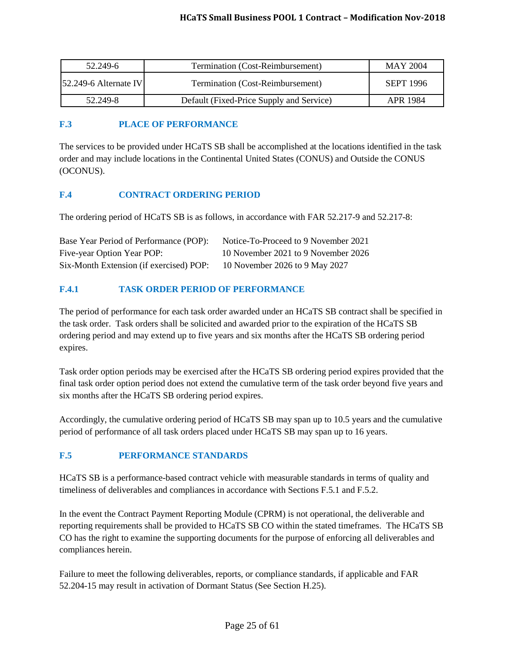| 52.249-6                | Termination (Cost-Reimbursement)         |           |
|-------------------------|------------------------------------------|-----------|
| $52.249-6$ Alternate IV | Termination (Cost-Reimbursement)         | SEPT 1996 |
| 52.249-8                | Default (Fixed-Price Supply and Service) | APR 1984  |

## <span id="page-24-0"></span>**F.3 PLACE OF PERFORMANCE**

The services to be provided under HCaTS SB shall be accomplished at the locations identified in the task order and may include locations in the Continental United States (CONUS) and Outside the CONUS (OCONUS).

## <span id="page-24-1"></span>**F.4 CONTRACT ORDERING PERIOD**

The ordering period of HCaTS SB is as follows, in accordance with FAR 52.217-9 and 52.217-8:

| Base Year Period of Performance (POP):  | Notice-To-Proceed to 9 November 2021 |
|-----------------------------------------|--------------------------------------|
| Five-year Option Year POP:              | 10 November 2021 to 9 November 2026  |
| Six-Month Extension (if exercised) POP: | 10 November 2026 to 9 May 2027       |

## <span id="page-24-2"></span>**F.4.1 TASK ORDER PERIOD OF PERFORMANCE**

The period of performance for each task order awarded under an HCaTS SB contract shall be specified in the task order. Task orders shall be solicited and awarded prior to the expiration of the HCaTS SB ordering period and may extend up to five years and six months after the HCaTS SB ordering period expires.

Task order option periods may be exercised after the HCaTS SB ordering period expires provided that the final task order option period does not extend the cumulative term of the task order beyond five years and six months after the HCaTS SB ordering period expires.

Accordingly, the cumulative ordering period of HCaTS SB may span up to 10.5 years and the cumulative period of performance of all task orders placed under HCaTS SB may span up to 16 years.

# <span id="page-24-3"></span>**F.5 PERFORMANCE STANDARDS**

HCaTS SB is a performance-based contract vehicle with measurable standards in terms of quality and timeliness of deliverables and compliances in accordance with Sections F.5.1 and F.5.2.

In the event the Contract Payment Reporting Module (CPRM) is not operational, the deliverable and reporting requirements shall be provided to HCaTS SB CO within the stated timeframes. The HCaTS SB CO has the right to examine the supporting documents for the purpose of enforcing all deliverables and compliances herein.

Failure to meet the following deliverables, reports, or compliance standards, if applicable and FAR 52.204-15 may result in activation of Dormant Status (See Section H.25).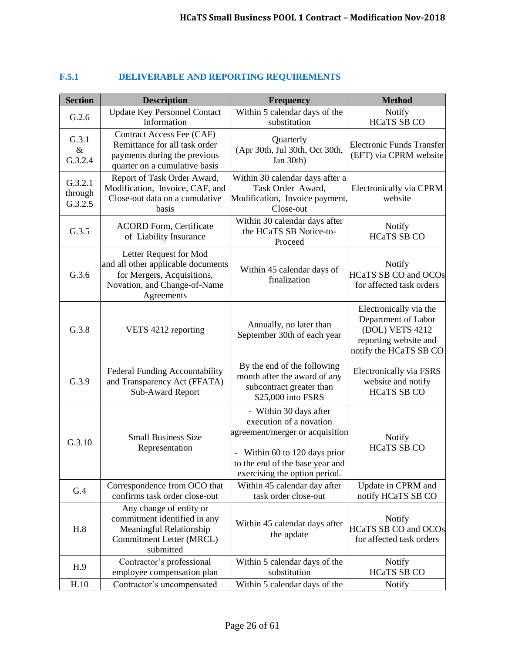<span id="page-25-0"></span>

| $\bf{F.5.1}$ | <b>DELIVERABLE AND REPORTING REQUIREMENTS</b> |
|--------------|-----------------------------------------------|
|--------------|-----------------------------------------------|

| <b>Section</b>                | <b>Description</b>                                                                                                                       | <b>Frequency</b>                                                                                                                                                                          | <b>Method</b>                                                                                                       |
|-------------------------------|------------------------------------------------------------------------------------------------------------------------------------------|-------------------------------------------------------------------------------------------------------------------------------------------------------------------------------------------|---------------------------------------------------------------------------------------------------------------------|
| G.2.6                         | <b>Update Key Personnel Contact</b><br>Information                                                                                       | Within 5 calendar days of the<br>substitution                                                                                                                                             | Notify<br><b>HCaTS SB CO</b>                                                                                        |
| G.3.1<br>$\&$<br>G.3.2.4      | Contract Access Fee (CAF)<br>Remittance for all task order<br>payments during the previous<br>quarter on a cumulative basis              | Quarterly<br>(Apr 30th, Jul 30th, Oct 30th,<br>Jan 30th)                                                                                                                                  | <b>Electronic Funds Transfer</b><br>(EFT) via CPRM website                                                          |
| G.3.2.1<br>through<br>G.3.2.5 | Report of Task Order Award,<br>Modification, Invoice, CAF, and<br>Close-out data on a cumulative<br>basis                                | Within 30 calendar days after a<br>Task Order Award,<br>Modification, Invoice payment,<br>Close-out                                                                                       | Electronically via CPRM<br>website                                                                                  |
| G.3.5                         | <b>ACORD Form, Certificate</b><br>of Liability Insurance                                                                                 | Within 30 calendar days after<br>the HCaTS SB Notice-to-<br>Proceed                                                                                                                       | Notify<br><b>HCaTS SB CO</b>                                                                                        |
| G.3.6                         | Letter Request for Mod<br>and all other applicable documents<br>for Mergers, Acquisitions,<br>Novation, and Change-of-Name<br>Agreements | Within 45 calendar days of<br>finalization                                                                                                                                                | <b>Notify</b><br><b>HCaTS SB CO and OCOs</b><br>for affected task orders                                            |
| G.3.8                         | VETS 4212 reporting                                                                                                                      | Annually, no later than<br>September 30th of each year                                                                                                                                    | Electronically via the<br>Department of Labor<br>(DOL) VETS 4212<br>reporting website and<br>notify the HCaTS SB CO |
| G.3.9                         | Federal Funding Accountability<br>and Transparency Act (FFATA)<br>Sub-Award Report                                                       | By the end of the following<br>month after the award of any<br>subcontract greater than<br>\$25,000 into FSRS                                                                             | Electronically via FSRS<br>website and notify<br><b>HCaTS SB CO</b>                                                 |
| G.3.10                        | <b>Small Business Size</b><br>Representation                                                                                             | - Within 30 days after<br>execution of a novation<br>agreement/merger or acquisition<br>- Within 60 to 120 days prior<br>to the end of the base year and<br>exercising the option period. | Notify<br><b>HCaTS SB CO</b>                                                                                        |
| G.4                           | Correspondence from OCO that<br>confirms task order close-out                                                                            | Within 45 calendar day after<br>task order close-out                                                                                                                                      | Update in CPRM and<br>notify HCaTS SB CO                                                                            |
| H.8                           | Any change of entity or<br>commitment identified in any<br>Meaningful Relationship<br>Commitment Letter (MRCL)<br>submitted              | Within 45 calendar days after<br>the update                                                                                                                                               | Notify<br><b>HCaTS SB CO and OCOs</b><br>for affected task orders                                                   |
| H.9                           | Contractor's professional<br>employee compensation plan                                                                                  | Within 5 calendar days of the<br>substitution                                                                                                                                             | Notify<br><b>HCaTS SB CO</b>                                                                                        |
| H.10                          | Contractor's uncompensated                                                                                                               | Within 5 calendar days of the                                                                                                                                                             | Notify                                                                                                              |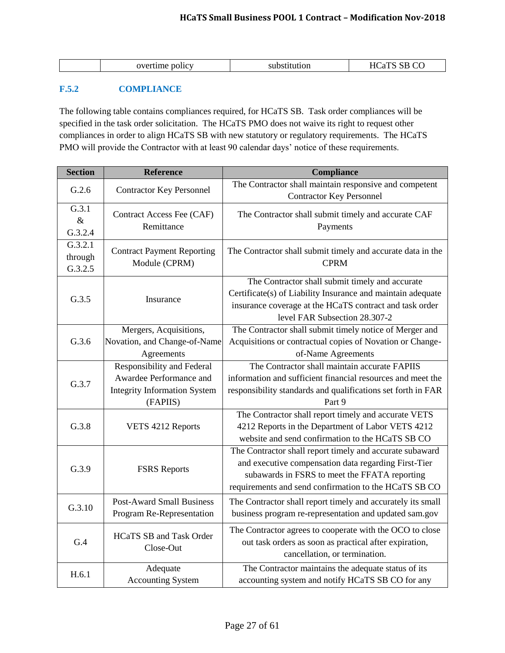| Н١<br>ume<br><b>DOIIC</b><br>.su<br>. .<br>. . |
|------------------------------------------------|
|------------------------------------------------|

# <span id="page-26-0"></span>**F.5.2 COMPLIANCE**

The following table contains compliances required, for HCaTS SB. Task order compliances will be specified in the task order solicitation. The HCaTS PMO does not waive its right to request other compliances in order to align HCaTS SB with new statutory or regulatory requirements. The HCaTS PMO will provide the Contractor with at least 90 calendar days' notice of these requirements.

| <b>Section</b>                | <b>Reference</b>                                                                                                | Compliance                                                                                                                                                                                                                 |
|-------------------------------|-----------------------------------------------------------------------------------------------------------------|----------------------------------------------------------------------------------------------------------------------------------------------------------------------------------------------------------------------------|
| G.2.6                         | <b>Contractor Key Personnel</b>                                                                                 | The Contractor shall maintain responsive and competent<br><b>Contractor Key Personnel</b>                                                                                                                                  |
| G.3.1<br>$\&$<br>G.3.2.4      | Contract Access Fee (CAF)<br>Remittance                                                                         | The Contractor shall submit timely and accurate CAF<br>Payments                                                                                                                                                            |
| G.3.2.1<br>through<br>G.3.2.5 | <b>Contract Payment Reporting</b><br>Module (CPRM)                                                              | The Contractor shall submit timely and accurate data in the<br><b>CPRM</b>                                                                                                                                                 |
| G.3.5                         | Insurance                                                                                                       | The Contractor shall submit timely and accurate<br>Certificate(s) of Liability Insurance and maintain adequate<br>insurance coverage at the HCaTS contract and task order<br>level FAR Subsection 28.307-2                 |
| G.3.6                         | Mergers, Acquisitions,<br>Novation, and Change-of-Name<br>Agreements                                            | The Contractor shall submit timely notice of Merger and<br>Acquisitions or contractual copies of Novation or Change-<br>of-Name Agreements                                                                                 |
| G.3.7                         | <b>Responsibility and Federal</b><br>Awardee Performance and<br><b>Integrity Information System</b><br>(FAPIIS) | The Contractor shall maintain accurate FAPIIS<br>information and sufficient financial resources and meet the<br>responsibility standards and qualifications set forth in FAR<br>Part 9                                     |
| G.3.8                         | VETS 4212 Reports                                                                                               | The Contractor shall report timely and accurate VETS<br>4212 Reports in the Department of Labor VETS 4212<br>website and send confirmation to the HCaTS SB CO                                                              |
| G.3.9                         | <b>FSRS</b> Reports                                                                                             | The Contractor shall report timely and accurate subaward<br>and executive compensation data regarding First-Tier<br>subawards in FSRS to meet the FFATA reporting<br>requirements and send confirmation to the HCaTS SB CO |
| G.3.10                        | <b>Post-Award Small Business</b><br>Program Re-Representation                                                   | The Contractor shall report timely and accurately its small<br>business program re-representation and updated sam.gov                                                                                                      |
| G.4                           | <b>HCaTS SB and Task Order</b><br>Close-Out                                                                     | The Contractor agrees to cooperate with the OCO to close<br>out task orders as soon as practical after expiration,<br>cancellation, or termination.                                                                        |
| H.6.1                         | Adequate<br><b>Accounting System</b>                                                                            | The Contractor maintains the adequate status of its<br>accounting system and notify HCaTS SB CO for any                                                                                                                    |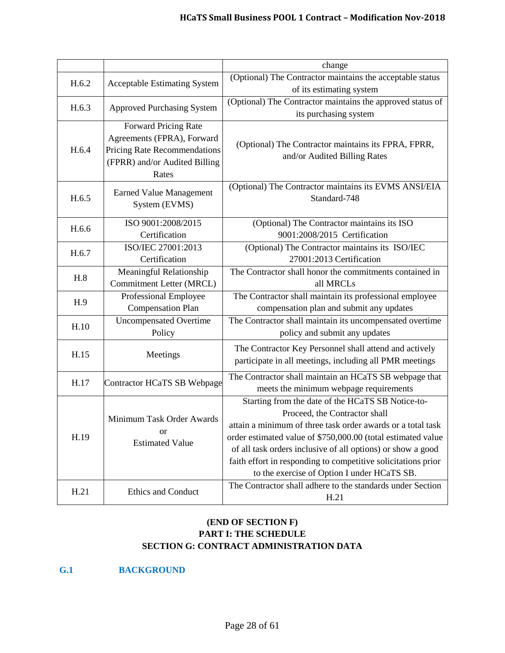|       |                                                                                                                                     | change                                                                                                                                                                                                                                                                                                                                                                                           |
|-------|-------------------------------------------------------------------------------------------------------------------------------------|--------------------------------------------------------------------------------------------------------------------------------------------------------------------------------------------------------------------------------------------------------------------------------------------------------------------------------------------------------------------------------------------------|
| H.6.2 | <b>Acceptable Estimating System</b>                                                                                                 | (Optional) The Contractor maintains the acceptable status<br>of its estimating system                                                                                                                                                                                                                                                                                                            |
| H.6.3 | <b>Approved Purchasing System</b>                                                                                                   | (Optional) The Contractor maintains the approved status of<br>its purchasing system                                                                                                                                                                                                                                                                                                              |
| H.6.4 | <b>Forward Pricing Rate</b><br>Agreements (FPRA), Forward<br>Pricing Rate Recommendations<br>(FPRR) and/or Audited Billing<br>Rates | (Optional) The Contractor maintains its FPRA, FPRR,<br>and/or Audited Billing Rates                                                                                                                                                                                                                                                                                                              |
| H.6.5 | <b>Earned Value Management</b><br>System (EVMS)                                                                                     | (Optional) The Contractor maintains its EVMS ANSI/EIA<br>Standard-748                                                                                                                                                                                                                                                                                                                            |
| H.6.6 | ISO 9001:2008/2015<br>Certification                                                                                                 | (Optional) The Contractor maintains its ISO<br>9001:2008/2015 Certification                                                                                                                                                                                                                                                                                                                      |
| H.6.7 | ISO/IEC 27001:2013<br>Certification                                                                                                 | (Optional) The Contractor maintains its ISO/IEC<br>27001:2013 Certification                                                                                                                                                                                                                                                                                                                      |
| H.8   | Meaningful Relationship<br>Commitment Letter (MRCL)                                                                                 | The Contractor shall honor the commitments contained in<br>all MRCLs                                                                                                                                                                                                                                                                                                                             |
| H.9   | Professional Employee<br><b>Compensation Plan</b>                                                                                   | The Contractor shall maintain its professional employee<br>compensation plan and submit any updates                                                                                                                                                                                                                                                                                              |
| H.10  | <b>Uncompensated Overtime</b><br>Policy                                                                                             | The Contractor shall maintain its uncompensated overtime<br>policy and submit any updates                                                                                                                                                                                                                                                                                                        |
| H.15  | Meetings                                                                                                                            | The Contractor Key Personnel shall attend and actively<br>participate in all meetings, including all PMR meetings                                                                                                                                                                                                                                                                                |
| H.17  | Contractor HCaTS SB Webpage                                                                                                         | The Contractor shall maintain an HCaTS SB webpage that<br>meets the minimum webpage requirements                                                                                                                                                                                                                                                                                                 |
| H.19  | Minimum Task Order Awards<br><b>or</b><br><b>Estimated Value</b>                                                                    | Starting from the date of the HCaTS SB Notice-to-<br>Proceed, the Contractor shall<br>attain a minimum of three task order awards or a total task<br>order estimated value of \$750,000.00 (total estimated value<br>of all task orders inclusive of all options) or show a good<br>faith effort in responding to competitive solicitations prior<br>to the exercise of Option I under HCaTS SB. |
| H.21  | <b>Ethics and Conduct</b>                                                                                                           | The Contractor shall adhere to the standards under Section<br>H.21                                                                                                                                                                                                                                                                                                                               |

# **(END OF SECTION F) PART I: THE SCHEDULE SECTION G: CONTRACT ADMINISTRATION DATA**

<span id="page-27-0"></span>**G.1 BACKGROUND**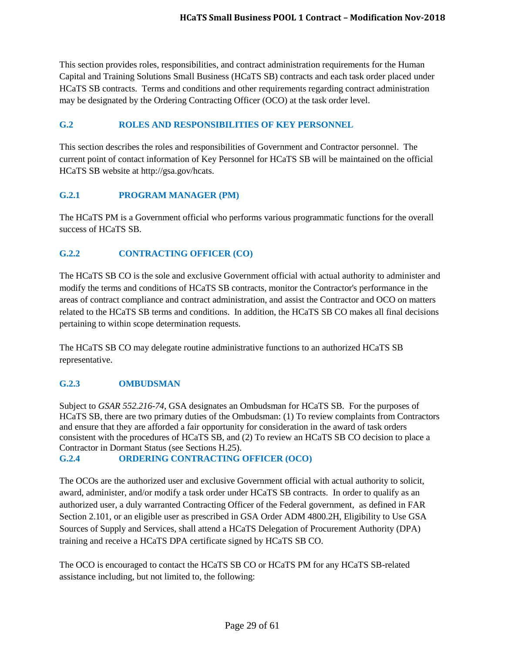This section provides roles, responsibilities, and contract administration requirements for the Human Capital and Training Solutions Small Business (HCaTS SB) contracts and each task order placed under HCaTS SB contracts. Terms and conditions and other requirements regarding contract administration may be designated by the Ordering Contracting Officer (OCO) at the task order level.

# <span id="page-28-0"></span>**G.2 ROLES AND RESPONSIBILITIES OF KEY PERSONNEL**

This section describes the roles and responsibilities of Government and Contractor personnel. The current point of contact information of Key Personnel for HCaTS SB will be maintained on the official HCaTS SB website at http://gsa.gov/hcats.

# <span id="page-28-1"></span>**G.2.1 PROGRAM MANAGER (PM)**

The HCaTS PM is a Government official who performs various programmatic functions for the overall success of HCaTS SB.

# <span id="page-28-2"></span>**G.2.2 CONTRACTING OFFICER (CO)**

The HCaTS SB CO is the sole and exclusive Government official with actual authority to administer and modify the terms and conditions of HCaTS SB contracts, monitor the Contractor's performance in the areas of contract compliance and contract administration, and assist the Contractor and OCO on matters related to the HCaTS SB terms and conditions. In addition, the HCaTS SB CO makes all final decisions pertaining to within scope determination requests.

The HCaTS SB CO may delegate routine administrative functions to an authorized HCaTS SB representative.

# <span id="page-28-3"></span>**G.2.3 OMBUDSMAN**

Subject to *GSAR 552.216-74*, GSA designates an Ombudsman for HCaTS SB.For the purposes of HCaTS SB, there are two primary duties of the Ombudsman: (1) To review complaints from Contractors and ensure that they are afforded a fair opportunity for consideration in the award of task orders consistent with the procedures of HCaTS SB, and (2) To review an HCaTS SB CO decision to place a Contractor in Dormant Status (see Sections H.25).

<span id="page-28-4"></span>**G.2.4 ORDERING CONTRACTING OFFICER (OCO)**

The OCOs are the authorized user and exclusive Government official with actual authority to solicit, award, administer, and/or modify a task order under HCaTS SB contracts. In order to qualify as an authorized user, a duly warranted Contracting Officer of the Federal government, as defined in FAR Section 2.101, or an eligible user as prescribed in GSA Order ADM 4800.2H, Eligibility to Use GSA Sources of Supply and Services, shall attend a HCaTS Delegation of Procurement Authority (DPA) training and receive a HCaTS DPA certificate signed by HCaTS SB CO.

The OCO is encouraged to contact the HCaTS SB CO or HCaTS PM for any HCaTS SB-related assistance including, but not limited to, the following: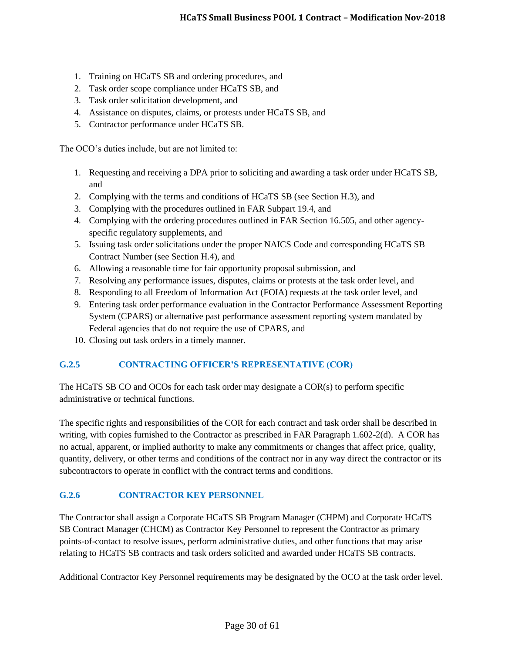- 1. Training on HCaTS SB and ordering procedures, and
- 2. Task order scope compliance under HCaTS SB, and
- 3. Task order solicitation development, and
- 4. Assistance on disputes, claims, or protests under HCaTS SB, and
- 5. Contractor performance under HCaTS SB.

The OCO's duties include, but are not limited to:

- 1. Requesting and receiving a DPA prior to soliciting and awarding a task order under HCaTS SB, and
- 2. Complying with the terms and conditions of HCaTS SB (see Section H.3), and
- 3. Complying with the procedures outlined in FAR Subpart 19.4, and
- 4. Complying with the ordering procedures outlined in FAR Section 16.505, and other agencyspecific regulatory supplements, and
- 5. Issuing task order solicitations under the proper NAICS Code and corresponding HCaTS SB Contract Number (see Section H.4), and
- 6. Allowing a reasonable time for fair opportunity proposal submission, and
- 7. Resolving any performance issues, disputes, claims or protests at the task order level, and
- 8. Responding to all Freedom of Information Act (FOIA) requests at the task order level, and
- 9. Entering task order performance evaluation in the Contractor Performance Assessment Reporting System (CPARS) or alternative past performance assessment reporting system mandated by Federal agencies that do not require the use of CPARS, and
- 10. Closing out task orders in a timely manner.

#### <span id="page-29-0"></span>**G.2.5 CONTRACTING OFFICER'S REPRESENTATIVE (COR)**

The HCaTS SB CO and OCOs for each task order may designate a COR(s) to perform specific administrative or technical functions.

The specific rights and responsibilities of the COR for each contract and task order shall be described in writing, with copies furnished to the Contractor as prescribed in FAR Paragraph 1.602-2(d). A COR has no actual, apparent, or implied authority to make any commitments or changes that affect price, quality, quantity, delivery, or other terms and conditions of the contract nor in any way direct the contractor or its subcontractors to operate in conflict with the contract terms and conditions.

#### <span id="page-29-1"></span>**G.2.6 CONTRACTOR KEY PERSONNEL**

The Contractor shall assign a Corporate HCaTS SB Program Manager (CHPM) and Corporate HCaTS SB Contract Manager (CHCM) as Contractor Key Personnel to represent the Contractor as primary points-of-contact to resolve issues, perform administrative duties, and other functions that may arise relating to HCaTS SB contracts and task orders solicited and awarded under HCaTS SB contracts.

Additional Contractor Key Personnel requirements may be designated by the OCO at the task order level.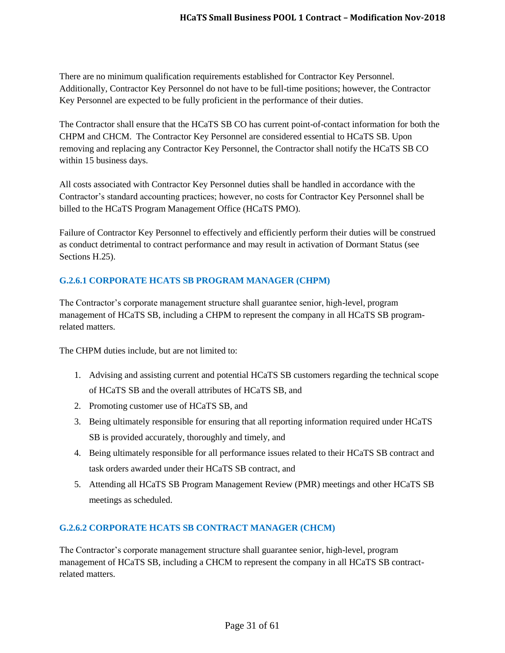There are no minimum qualification requirements established for Contractor Key Personnel. Additionally, Contractor Key Personnel do not have to be full-time positions; however, the Contractor Key Personnel are expected to be fully proficient in the performance of their duties.

The Contractor shall ensure that the HCaTS SB CO has current point-of-contact information for both the CHPM and CHCM. The Contractor Key Personnel are considered essential to HCaTS SB. Upon removing and replacing any Contractor Key Personnel, the Contractor shall notify the HCaTS SB CO within 15 business days.

All costs associated with Contractor Key Personnel duties shall be handled in accordance with the Contractor's standard accounting practices; however, no costs for Contractor Key Personnel shall be billed to the HCaTS Program Management Office (HCaTS PMO).

Failure of Contractor Key Personnel to effectively and efficiently perform their duties will be construed as conduct detrimental to contract performance and may result in activation of Dormant Status (see Sections H.25).

# <span id="page-30-0"></span>**G.2.6.1 CORPORATE HCATS SB PROGRAM MANAGER (CHPM)**

The Contractor's corporate management structure shall guarantee senior, high-level, program management of HCaTS SB, including a CHPM to represent the company in all HCaTS SB programrelated matters.

The CHPM duties include, but are not limited to:

- 1. Advising and assisting current and potential HCaTS SB customers regarding the technical scope of HCaTS SB and the overall attributes of HCaTS SB, and
- 2. Promoting customer use of HCaTS SB, and
- 3. Being ultimately responsible for ensuring that all reporting information required under HCaTS SB is provided accurately, thoroughly and timely, and
- 4. Being ultimately responsible for all performance issues related to their HCaTS SB contract and task orders awarded under their HCaTS SB contract, and
- 5. Attending all HCaTS SB Program Management Review (PMR) meetings and other HCaTS SB meetings as scheduled.

# <span id="page-30-1"></span>**G.2.6.2 CORPORATE HCATS SB CONTRACT MANAGER (CHCM)**

The Contractor's corporate management structure shall guarantee senior, high-level, program management of HCaTS SB, including a CHCM to represent the company in all HCaTS SB contractrelated matters.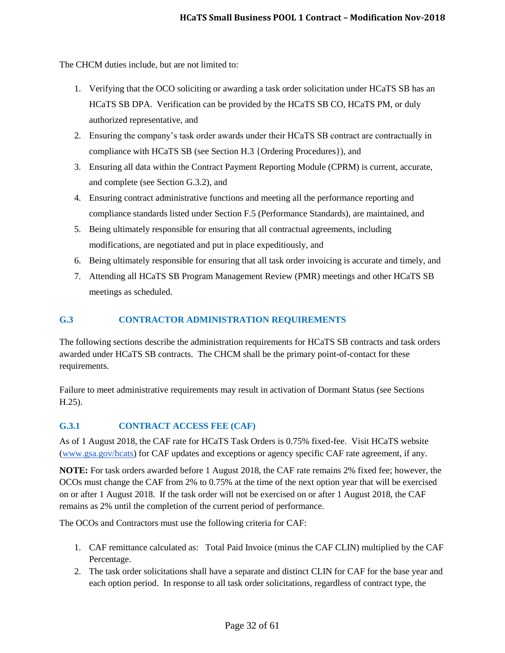The CHCM duties include, but are not limited to:

- 1. Verifying that the OCO soliciting or awarding a task order solicitation under HCaTS SB has an HCaTS SB DPA. Verification can be provided by the HCaTS SB CO, HCaTS PM, or duly authorized representative, and
- 2. Ensuring the company's task order awards under their HCaTS SB contract are contractually in compliance with HCaTS SB (see Section H.3 {Ordering Procedures}), and
- 3. Ensuring all data within the Contract Payment Reporting Module (CPRM) is current, accurate, and complete (see Section G.3.2), and
- 4. Ensuring contract administrative functions and meeting all the performance reporting and compliance standards listed under Section F.5 (Performance Standards), are maintained, and
- 5. Being ultimately responsible for ensuring that all contractual agreements, including modifications, are negotiated and put in place expeditiously, and
- 6. Being ultimately responsible for ensuring that all task order invoicing is accurate and timely, and
- 7. Attending all HCaTS SB Program Management Review (PMR) meetings and other HCaTS SB meetings as scheduled.

# <span id="page-31-0"></span>**G.3 CONTRACTOR ADMINISTRATION REQUIREMENTS**

The following sections describe the administration requirements for HCaTS SB contracts and task orders awarded under HCaTS SB contracts. The CHCM shall be the primary point-of-contact for these requirements.

Failure to meet administrative requirements may result in activation of Dormant Status (see Sections H.25).

# <span id="page-31-1"></span>**G.3.1 CONTRACT ACCESS FEE (CAF)**

As of 1 August 2018, the CAF rate for HCaTS Task Orders is 0.75% fixed-fee. Visit HCaTS website [\(www.gsa.gov/hcats\)](http://www.gsa.gov/hcats) for CAF updates and exceptions or agency specific CAF rate agreement, if any.

**NOTE:** For task orders awarded before 1 August 2018, the CAF rate remains 2% fixed fee; however, the OCOs must change the CAF from 2% to 0.75% at the time of the next option year that will be exercised on or after 1 August 2018. If the task order will not be exercised on or after 1 August 2018, the CAF remains as 2% until the completion of the current period of performance.

The OCOs and Contractors must use the following criteria for CAF:

- 1. CAF remittance calculated as: Total Paid Invoice (minus the CAF CLIN) multiplied by the CAF Percentage.
- 2. The task order solicitations shall have a separate and distinct CLIN for CAF for the base year and each option period. In response to all task order solicitations, regardless of contract type, the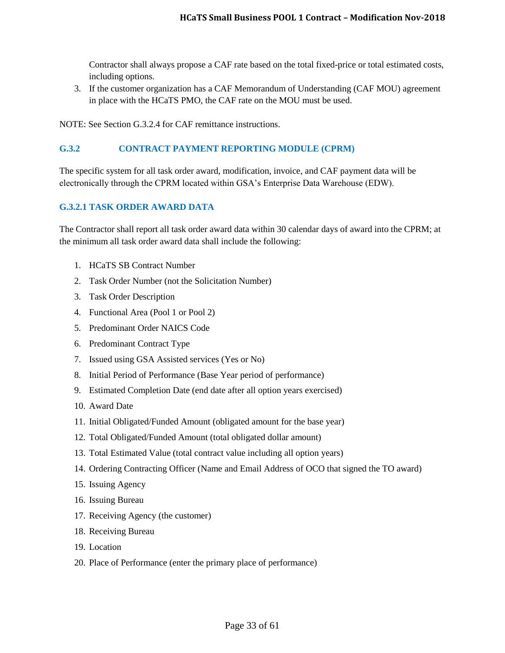Contractor shall always propose a CAF rate based on the total fixed-price or total estimated costs, including options.

3. If the customer organization has a CAF Memorandum of Understanding (CAF MOU) agreement in place with the HCaTS PMO, the CAF rate on the MOU must be used.

NOTE: See Section G.3.2.4 for CAF remittance instructions.

#### <span id="page-32-0"></span>**G.3.2 CONTRACT PAYMENT REPORTING MODULE (CPRM)**

The specific system for all task order award, modification, invoice, and CAF payment data will be electronically through the CPRM located within GSA's Enterprise Data Warehouse (EDW).

## <span id="page-32-1"></span>**G.3.2.1 TASK ORDER AWARD DATA**

The Contractor shall report all task order award data within 30 calendar days of award into the CPRM; at the minimum all task order award data shall include the following:

- 1. HCaTS SB Contract Number
- 2. Task Order Number (not the Solicitation Number)
- 3. Task Order Description
- 4. Functional Area (Pool 1 or Pool 2)
- 5. Predominant Order NAICS Code
- 6. Predominant Contract Type
- 7. Issued using GSA Assisted services (Yes or No)
- 8. Initial Period of Performance (Base Year period of performance)
- 9. Estimated Completion Date (end date after all option years exercised)
- 10. Award Date
- 11. Initial Obligated/Funded Amount (obligated amount for the base year)
- 12. Total Obligated/Funded Amount (total obligated dollar amount)
- 13. Total Estimated Value (total contract value including all option years)
- 14. Ordering Contracting Officer (Name and Email Address of OCO that signed the TO award)
- 15. Issuing Agency
- 16. Issuing Bureau
- 17. Receiving Agency (the customer)
- 18. Receiving Bureau
- 19 Location
- 20. Place of Performance (enter the primary place of performance)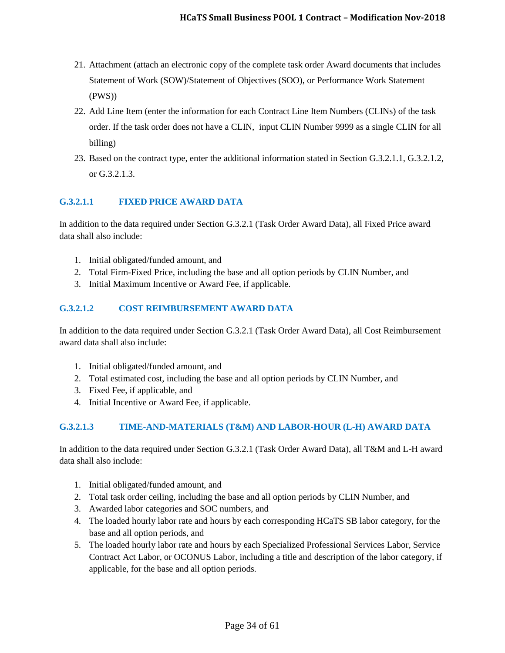- 21. Attachment (attach an electronic copy of the complete task order Award documents that includes Statement of Work (SOW)/Statement of Objectives (SOO), or Performance Work Statement (PWS))
- 22. Add Line Item (enter the information for each Contract Line Item Numbers (CLINs) of the task order. If the task order does not have a CLIN, input CLIN Number 9999 as a single CLIN for all billing)
- 23. Based on the contract type, enter the additional information stated in Section G.3.2.1.1, G.3.2.1.2, or G.3.2.1.3.

# <span id="page-33-0"></span>**G.3.2.1.1 FIXED PRICE AWARD DATA**

In addition to the data required under Section G.3.2.1 (Task Order Award Data), all Fixed Price award data shall also include:

- 1. Initial obligated/funded amount, and
- 2. Total Firm-Fixed Price, including the base and all option periods by CLIN Number, and
- 3. Initial Maximum Incentive or Award Fee, if applicable.

# <span id="page-33-1"></span>**G.3.2.1.2 COST REIMBURSEMENT AWARD DATA**

In addition to the data required under Section G.3.2.1 (Task Order Award Data), all Cost Reimbursement award data shall also include:

- 1. Initial obligated/funded amount, and
- 2. Total estimated cost, including the base and all option periods by CLIN Number, and
- 3. Fixed Fee, if applicable, and
- 4. Initial Incentive or Award Fee, if applicable.

# <span id="page-33-2"></span>**G.3.2.1.3 TIME-AND-MATERIALS (T&M) AND LABOR-HOUR (L-H) AWARD DATA**

In addition to the data required under Section G.3.2.1 (Task Order Award Data), all T&M and L-H award data shall also include:

- 1. Initial obligated/funded amount, and
- 2. Total task order ceiling, including the base and all option periods by CLIN Number, and
- 3. Awarded labor categories and SOC numbers, and
- 4. The loaded hourly labor rate and hours by each corresponding HCaTS SB labor category, for the base and all option periods, and
- 5. The loaded hourly labor rate and hours by each Specialized Professional Services Labor, Service Contract Act Labor, or OCONUS Labor, including a title and description of the labor category, if applicable, for the base and all option periods.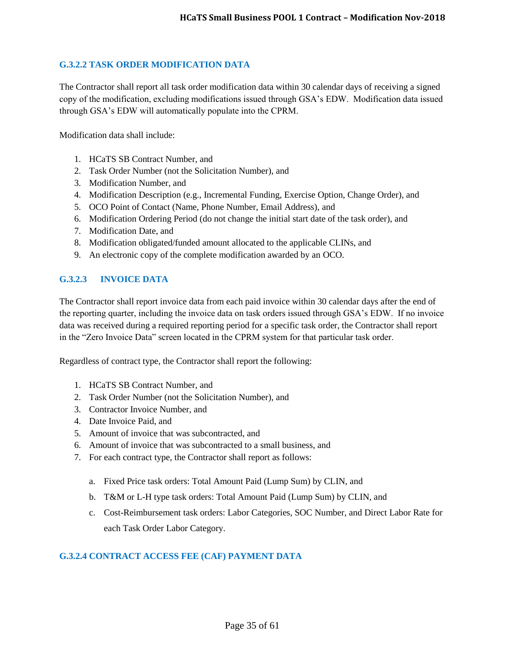#### <span id="page-34-0"></span>**G.3.2.2 TASK ORDER MODIFICATION DATA**

The Contractor shall report all task order modification data within 30 calendar days of receiving a signed copy of the modification, excluding modifications issued through GSA's EDW. Modification data issued through GSA's EDW will automatically populate into the CPRM.

Modification data shall include:

- 1. HCaTS SB Contract Number, and
- 2. Task Order Number (not the Solicitation Number), and
- 3. Modification Number, and
- 4. Modification Description (e.g., Incremental Funding, Exercise Option, Change Order), and
- 5. OCO Point of Contact (Name, Phone Number, Email Address), and
- 6. Modification Ordering Period (do not change the initial start date of the task order), and
- 7. Modification Date, and
- 8. Modification obligated/funded amount allocated to the applicable CLINs, and
- 9. An electronic copy of the complete modification awarded by an OCO.

#### <span id="page-34-1"></span>**G.3.2.3 INVOICE DATA**

The Contractor shall report invoice data from each paid invoice within 30 calendar days after the end of the reporting quarter, including the invoice data on task orders issued through GSA's EDW. If no invoice data was received during a required reporting period for a specific task order, the Contractor shall report in the "Zero Invoice Data" screen located in the CPRM system for that particular task order.

Regardless of contract type, the Contractor shall report the following:

- 1. HCaTS SB Contract Number, and
- 2. Task Order Number (not the Solicitation Number), and
- 3. Contractor Invoice Number, and
- 4. Date Invoice Paid, and
- 5. Amount of invoice that was subcontracted, and
- 6. Amount of invoice that was subcontracted to a small business, and
- 7. For each contract type, the Contractor shall report as follows:
	- a. Fixed Price task orders: Total Amount Paid (Lump Sum) by CLIN, and
	- b. T&M or L-H type task orders: Total Amount Paid (Lump Sum) by CLIN, and
	- c. Cost-Reimbursement task orders: Labor Categories, SOC Number, and Direct Labor Rate for each Task Order Labor Category.

#### <span id="page-34-2"></span>**G.3.2.4 CONTRACT ACCESS FEE (CAF) PAYMENT DATA**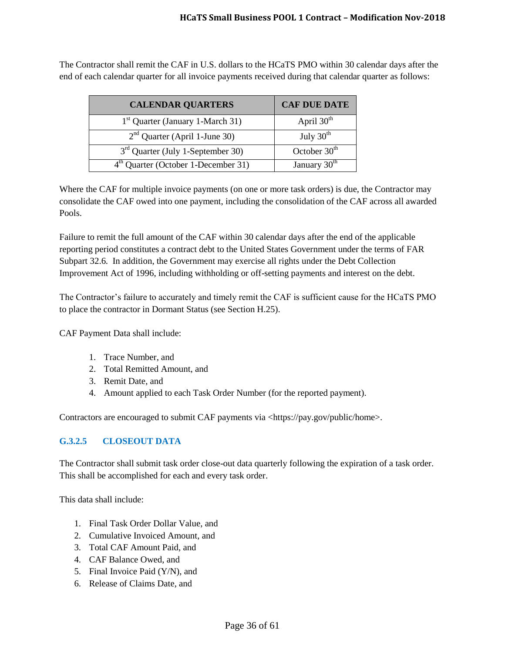The Contractor shall remit the CAF in U.S. dollars to the HCaTS PMO within 30 calendar days after the end of each calendar quarter for all invoice payments received during that calendar quarter as follows:

| <b>CALENDAR QUARTERS</b>                        | <b>CAF DUE DATE</b>      |
|-------------------------------------------------|--------------------------|
| $1st$ Quarter (January 1-March 31)              | April $30th$             |
| $2nd$ Quarter (April 1-June 30)                 | July $30th$              |
| 3 <sup>rd</sup> Quarter (July 1-September 30)   | October 30 <sup>th</sup> |
| 4 <sup>th</sup> Quarter (October 1-December 31) | January 30 <sup>th</sup> |

Where the CAF for multiple invoice payments (on one or more task orders) is due, the Contractor may consolidate the CAF owed into one payment, including the consolidation of the CAF across all awarded Pools.

Failure to remit the full amount of the CAF within 30 calendar days after the end of the applicable reporting period constitutes a contract debt to the United States Government under the terms of FAR Subpart 32.6. In addition, the Government may exercise all rights under the Debt Collection Improvement Act of 1996, including withholding or off-setting payments and interest on the debt.

The Contractor's failure to accurately and timely remit the CAF is sufficient cause for the HCaTS PMO to place the contractor in Dormant Status (see Section H.25).

CAF Payment Data shall include:

- 1. Trace Number, and
- 2. Total Remitted Amount, and
- 3. Remit Date, and
- 4. Amount applied to each Task Order Number (for the reported payment).

Contractors are encouraged to submit CAF payments via <https://pay.gov/public/home>.

# <span id="page-35-0"></span>**G.3.2.5 CLOSEOUT DATA**

The Contractor shall submit task order close-out data quarterly following the expiration of a task order. This shall be accomplished for each and every task order.

This data shall include:

- 1. Final Task Order Dollar Value, and
- 2. Cumulative Invoiced Amount, and
- 3. Total CAF Amount Paid, and
- 4. CAF Balance Owed, and
- 5. Final Invoice Paid (Y/N), and
- 6. Release of Claims Date, and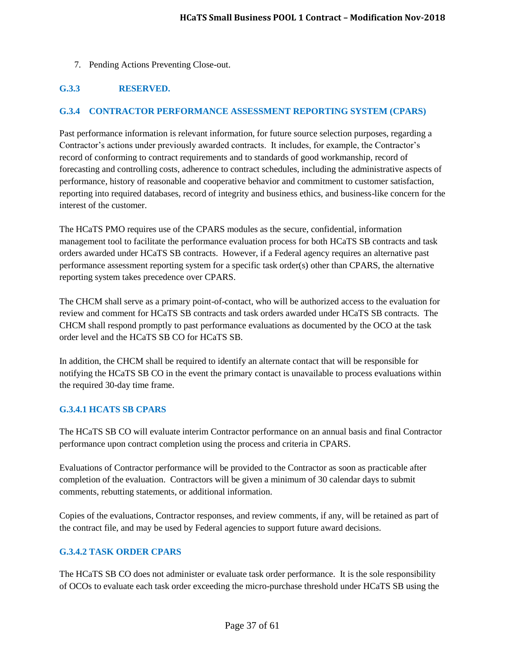7. Pending Actions Preventing Close-out.

# <span id="page-36-0"></span>**G.3.3 RESERVED.**

#### <span id="page-36-1"></span>**G.3.4 CONTRACTOR PERFORMANCE ASSESSMENT REPORTING SYSTEM (CPARS)**

Past performance information is relevant information, for future source selection purposes, regarding a Contractor's actions under previously awarded contracts. It includes, for example, the Contractor's record of conforming to contract requirements and to standards of good workmanship, record of forecasting and controlling costs, adherence to contract schedules, including the administrative aspects of performance, history of reasonable and cooperative behavior and commitment to customer satisfaction, reporting into required databases, record of integrity and business ethics, and business-like concern for the interest of the customer.

The HCaTS PMO requires use of the CPARS modules as the secure, confidential, information management tool to facilitate the performance evaluation process for both HCaTS SB contracts and task orders awarded under HCaTS SB contracts. However, if a Federal agency requires an alternative past performance assessment reporting system for a specific task order(s) other than CPARS, the alternative reporting system takes precedence over CPARS.

The CHCM shall serve as a primary point-of-contact, who will be authorized access to the evaluation for review and comment for HCaTS SB contracts and task orders awarded under HCaTS SB contracts. The CHCM shall respond promptly to past performance evaluations as documented by the OCO at the task order level and the HCaTS SB CO for HCaTS SB.

In addition, the CHCM shall be required to identify an alternate contact that will be responsible for notifying the HCaTS SB CO in the event the primary contact is unavailable to process evaluations within the required 30-day time frame.

#### <span id="page-36-2"></span>**G.3.4.1 HCATS SB CPARS**

The HCaTS SB CO will evaluate interim Contractor performance on an annual basis and final Contractor performance upon contract completion using the process and criteria in CPARS.

Evaluations of Contractor performance will be provided to the Contractor as soon as practicable after completion of the evaluation. Contractors will be given a minimum of 30 calendar days to submit comments, rebutting statements, or additional information.

Copies of the evaluations, Contractor responses, and review comments, if any, will be retained as part of the contract file, and may be used by Federal agencies to support future award decisions.

#### <span id="page-36-3"></span>**G.3.4.2 TASK ORDER CPARS**

The HCaTS SB CO does not administer or evaluate task order performance. It is the sole responsibility of OCOs to evaluate each task order exceeding the micro-purchase threshold under HCaTS SB using the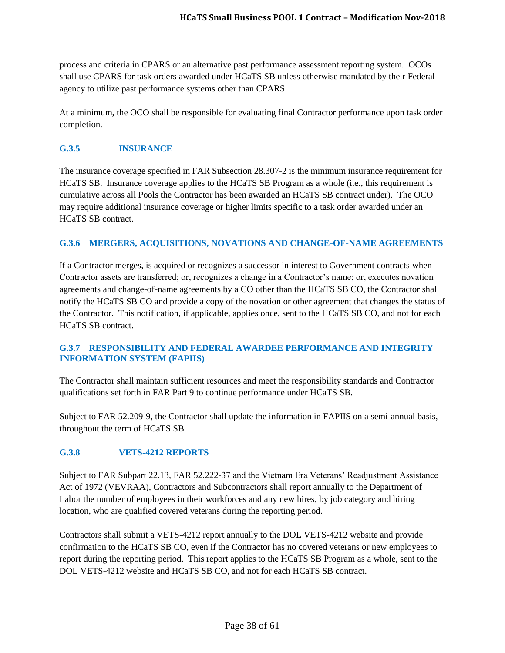process and criteria in CPARS or an alternative past performance assessment reporting system. OCOs shall use CPARS for task orders awarded under HCaTS SB unless otherwise mandated by their Federal agency to utilize past performance systems other than CPARS.

At a minimum, the OCO shall be responsible for evaluating final Contractor performance upon task order completion.

## <span id="page-37-0"></span>**G.3.5 INSURANCE**

The insurance coverage specified in FAR Subsection 28.307-2 is the minimum insurance requirement for HCaTS SB. Insurance coverage applies to the HCaTS SB Program as a whole (i.e., this requirement is cumulative across all Pools the Contractor has been awarded an HCaTS SB contract under). The OCO may require additional insurance coverage or higher limits specific to a task order awarded under an HCaTS SB contract.

# <span id="page-37-1"></span>**G.3.6 MERGERS, ACQUISITIONS, NOVATIONS AND CHANGE-OF-NAME AGREEMENTS**

If a Contractor merges, is acquired or recognizes a successor in interest to Government contracts when Contractor assets are transferred; or, recognizes a change in a Contractor's name; or, executes novation agreements and change-of-name agreements by a CO other than the HCaTS SB CO, the Contractor shall notify the HCaTS SB CO and provide a copy of the novation or other agreement that changes the status of the Contractor. This notification, if applicable, applies once, sent to the HCaTS SB CO, and not for each HCaTS SB contract.

#### <span id="page-37-2"></span>**G.3.7 RESPONSIBILITY AND FEDERAL AWARDEE PERFORMANCE AND INTEGRITY INFORMATION SYSTEM (FAPIIS)**

The Contractor shall maintain sufficient resources and meet the responsibility standards and Contractor qualifications set forth in FAR Part 9 to continue performance under HCaTS SB.

Subject to FAR 52.209-9, the Contractor shall update the information in FAPIIS on a semi-annual basis, throughout the term of HCaTS SB.

# <span id="page-37-3"></span>**G.3.8 VETS-4212 REPORTS**

Subject to FAR Subpart 22.13, FAR 52.222-37 and the Vietnam Era Veterans' Readjustment Assistance Act of 1972 (VEVRAA), Contractors and Subcontractors shall report annually to the Department of Labor the number of employees in their workforces and any new hires, by job category and hiring location, who are qualified covered veterans during the reporting period.

Contractors shall submit a VETS-4212 report annually to the DOL VETS-4212 website and provide confirmation to the HCaTS SB CO, even if the Contractor has no covered veterans or new employees to report during the reporting period. This report applies to the HCaTS SB Program as a whole, sent to the DOL VETS-4212 website and HCaTS SB CO, and not for each HCaTS SB contract.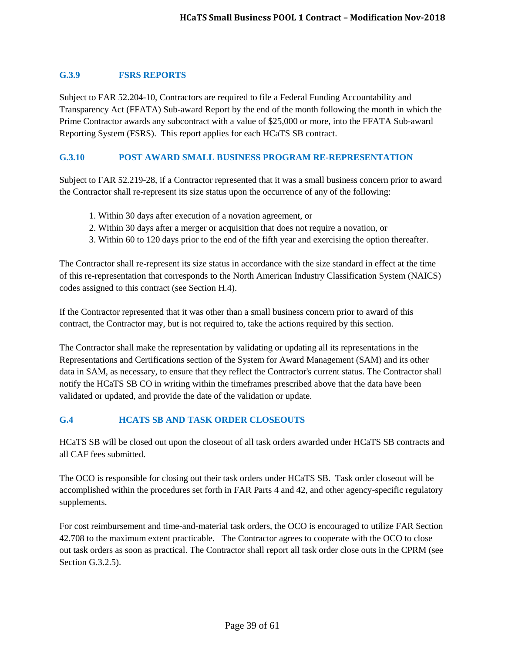## <span id="page-38-0"></span>**G.3.9 FSRS REPORTS**

Subject to FAR 52.204-10, Contractors are required to file a Federal Funding Accountability and Transparency Act (FFATA) Sub-award Report by the end of the month following the month in which the Prime Contractor awards any subcontract with a value of \$25,000 or more, into the FFATA Sub-award Reporting System (FSRS). This report applies for each HCaTS SB contract.

#### <span id="page-38-1"></span>**G.3.10 POST AWARD SMALL BUSINESS PROGRAM RE-REPRESENTATION**

Subject to FAR 52.219-28, if a Contractor represented that it was a small business concern prior to award the Contractor shall re-represent its size status upon the occurrence of any of the following:

- 1. Within 30 days after execution of a novation agreement, or
- 2. Within 30 days after a merger or acquisition that does not require a novation, or
- 3. Within 60 to 120 days prior to the end of the fifth year and exercising the option thereafter.

The Contractor shall re-represent its size status in accordance with the size standard in effect at the time of this re-representation that corresponds to the North American Industry Classification System (NAICS) codes assigned to this contract (see Section H.4).

If the Contractor represented that it was other than a small business concern prior to award of this contract, the Contractor may, but is not required to, take the actions required by this section.

The Contractor shall make the representation by validating or updating all its representations in the Representations and Certifications section of the System for Award Management (SAM) and its other data in SAM, as necessary, to ensure that they reflect the Contractor's current status. The Contractor shall notify the HCaTS SB CO in writing within the timeframes prescribed above that the data have been validated or updated, and provide the date of the validation or update.

#### <span id="page-38-2"></span>**G.4 HCATS SB AND TASK ORDER CLOSEOUTS**

HCaTS SB will be closed out upon the closeout of all task orders awarded under HCaTS SB contracts and all CAF fees submitted.

The OCO is responsible for closing out their task orders under HCaTS SB. Task order closeout will be accomplished within the procedures set forth in FAR Parts 4 and 42, and other agency-specific regulatory supplements.

For cost reimbursement and time-and-material task orders, the OCO is encouraged to utilize FAR Section 42.708 to the maximum extent practicable. The Contractor agrees to cooperate with the OCO to close out task orders as soon as practical. The Contractor shall report all task order close outs in the CPRM (see Section G.3.2.5).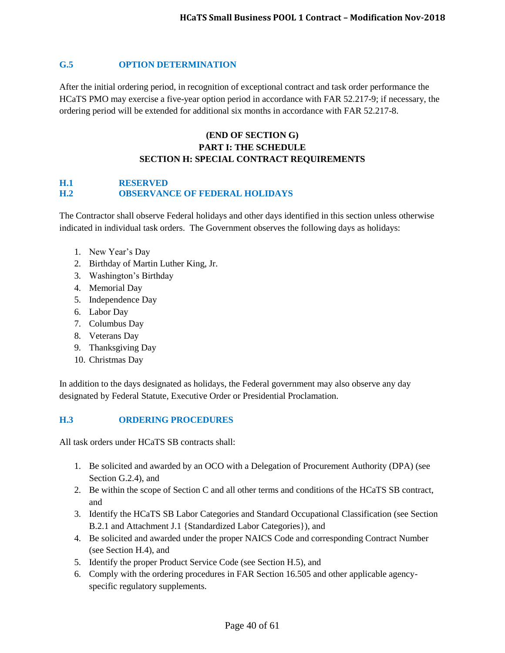#### <span id="page-39-0"></span>**G.5 OPTION DETERMINATION**

After the initial ordering period, in recognition of exceptional contract and task order performance the HCaTS PMO may exercise a five-year option period in accordance with FAR 52.217-9; if necessary, the ordering period will be extended for additional six months in accordance with FAR 52.217-8.

# **(END OF SECTION G) PART I: THE SCHEDULE SECTION H: SPECIAL CONTRACT REQUIREMENTS**

## <span id="page-39-2"></span><span id="page-39-1"></span>**H.1 RESERVED H.2 OBSERVANCE OF FEDERAL HOLIDAYS**

The Contractor shall observe Federal holidays and other days identified in this section unless otherwise indicated in individual task orders. The Government observes the following days as holidays:

- 1. New Year's Day
- 2. Birthday of Martin Luther King, Jr.
- 3. Washington's Birthday
- 4. Memorial Day
- 5. Independence Day
- 6. Labor Day
- 7. Columbus Day
- 8. Veterans Day
- 9. Thanksgiving Day
- 10. Christmas Day

In addition to the days designated as holidays, the Federal government may also observe any day designated by Federal Statute, Executive Order or Presidential Proclamation.

#### <span id="page-39-3"></span>**H.3 ORDERING PROCEDURES**

All task orders under HCaTS SB contracts shall:

- 1. Be solicited and awarded by an OCO with a Delegation of Procurement Authority (DPA) (see Section G.2.4), and
- 2. Be within the scope of Section C and all other terms and conditions of the HCaTS SB contract, and
- 3. Identify the HCaTS SB Labor Categories and Standard Occupational Classification (see Section B.2.1 and Attachment J.1 {Standardized Labor Categories}), and
- 4. Be solicited and awarded under the proper NAICS Code and corresponding Contract Number (see Section H.4), and
- 5. Identify the proper Product Service Code (see Section H.5), and
- 6. Comply with the ordering procedures in FAR Section 16.505 and other applicable agencyspecific regulatory supplements.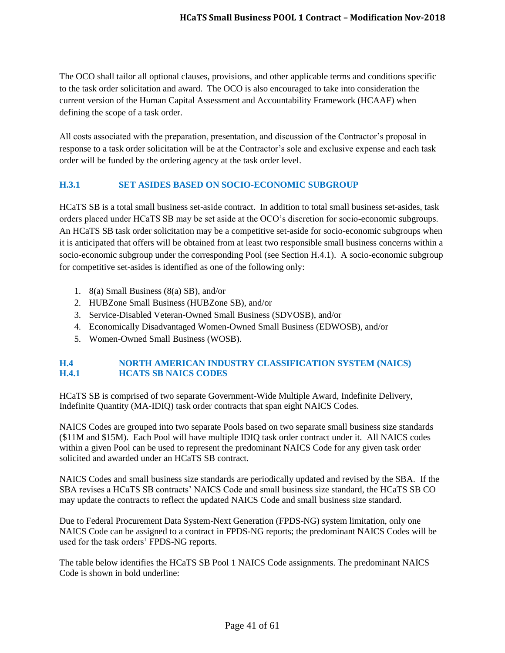The OCO shall tailor all optional clauses, provisions, and other applicable terms and conditions specific to the task order solicitation and award. The OCO is also encouraged to take into consideration the current version of the Human Capital Assessment and Accountability Framework (HCAAF) when defining the scope of a task order.

All costs associated with the preparation, presentation, and discussion of the Contractor's proposal in response to a task order solicitation will be at the Contractor's sole and exclusive expense and each task order will be funded by the ordering agency at the task order level.

#### <span id="page-40-0"></span>**H.3.1 SET ASIDES BASED ON SOCIO-ECONOMIC SUBGROUP**

HCaTS SB is a total small business set-aside contract. In addition to total small business set-asides, task orders placed under HCaTS SB may be set aside at the OCO's discretion for socio-economic subgroups. An HCaTS SB task order solicitation may be a competitive set-aside for socio-economic subgroups when it is anticipated that offers will be obtained from at least two responsible small business concerns within a socio-economic subgroup under the corresponding Pool (see Section H.4.1). A socio-economic subgroup for competitive set-asides is identified as one of the following only:

- 1. 8(a) Small Business (8(a) SB), and/or
- 2. HUBZone Small Business (HUBZone SB), and/or
- 3. Service-Disabled Veteran-Owned Small Business (SDVOSB), and/or
- 4. Economically Disadvantaged Women-Owned Small Business (EDWOSB), and/or
- 5. Women-Owned Small Business (WOSB).

## <span id="page-40-2"></span><span id="page-40-1"></span>**H.4 NORTH AMERICAN INDUSTRY CLASSIFICATION SYSTEM (NAICS) H.4.1 HCATS SB NAICS CODES**

HCaTS SB is comprised of two separate Government-Wide Multiple Award, Indefinite Delivery, Indefinite Quantity (MA-IDIQ) task order contracts that span eight NAICS Codes.

NAICS Codes are grouped into two separate Pools based on two separate small business size standards (\$11M and \$15M). Each Pool will have multiple IDIQ task order contract under it. All NAICS codes within a given Pool can be used to represent the predominant NAICS Code for any given task order solicited and awarded under an HCaTS SB contract.

NAICS Codes and small business size standards are periodically updated and revised by the SBA. If the SBA revises a HCaTS SB contracts' NAICS Code and small business size standard, the HCaTS SB CO may update the contracts to reflect the updated NAICS Code and small business size standard.

Due to Federal Procurement Data System-Next Generation (FPDS-NG) system limitation, only one NAICS Code can be assigned to a contract in FPDS-NG reports; the predominant NAICS Codes will be used for the task orders' FPDS-NG reports.

The table below identifies the HCaTS SB Pool 1 NAICS Code assignments. The predominant NAICS Code is shown in bold underline: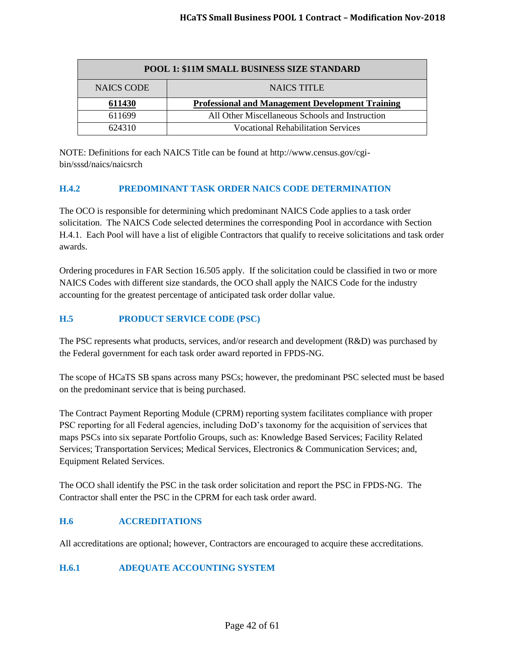| POOL 1: \$11M SMALL BUSINESS SIZE STANDARD |                                                         |  |
|--------------------------------------------|---------------------------------------------------------|--|
| <b>NAICS CODE</b>                          | <b>NAICS TITLE</b>                                      |  |
| 611430                                     | <b>Professional and Management Development Training</b> |  |
| 611699                                     | All Other Miscellaneous Schools and Instruction         |  |
| 624310                                     | <b>Vocational Rehabilitation Services</b>               |  |

NOTE: Definitions for each NAICS Title can be found at http://www.census.gov/cgibin/sssd/naics/naicsrch

## <span id="page-41-0"></span>**H.4.2 PREDOMINANT TASK ORDER NAICS CODE DETERMINATION**

The OCO is responsible for determining which predominant NAICS Code applies to a task order solicitation. The NAICS Code selected determines the corresponding Pool in accordance with Section H.4.1. Each Pool will have a list of eligible Contractors that qualify to receive solicitations and task order awards.

Ordering procedures in FAR Section 16.505 apply. If the solicitation could be classified in two or more NAICS Codes with different size standards, the OCO shall apply the NAICS Code for the industry accounting for the greatest percentage of anticipated task order dollar value.

## <span id="page-41-1"></span>**H.5 PRODUCT SERVICE CODE (PSC)**

The PSC represents what products, services, and/or research and development (R&D) was purchased by the Federal government for each task order award reported in FPDS-NG.

The scope of HCaTS SB spans across many PSCs; however, the predominant PSC selected must be based on the predominant service that is being purchased.

The Contract Payment Reporting Module (CPRM) reporting system facilitates compliance with proper PSC reporting for all Federal agencies, including DoD's taxonomy for the acquisition of services that maps PSCs into six separate Portfolio Groups, such as: Knowledge Based Services; Facility Related Services; Transportation Services; Medical Services, Electronics & Communication Services; and, Equipment Related Services.

The OCO shall identify the PSC in the task order solicitation and report the PSC in FPDS-NG. The Contractor shall enter the PSC in the CPRM for each task order award.

#### <span id="page-41-2"></span>**H.6 ACCREDITATIONS**

All accreditations are optional; however, Contractors are encouraged to acquire these accreditations.

#### <span id="page-41-3"></span>**H.6.1 ADEQUATE ACCOUNTING SYSTEM**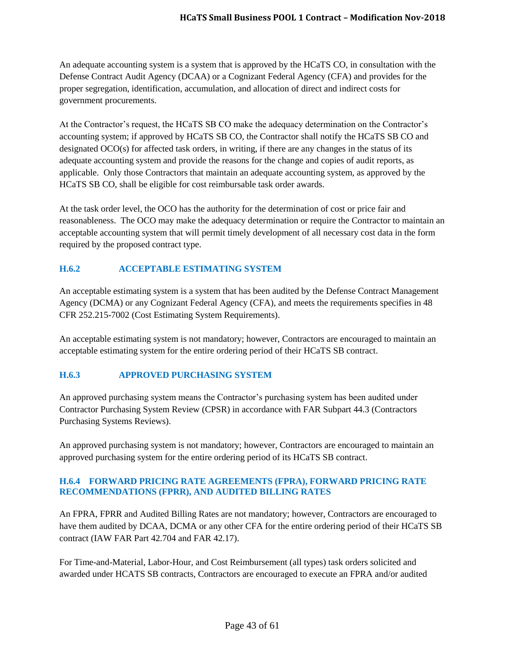An adequate accounting system is a system that is approved by the HCaTS CO, in consultation with the Defense Contract Audit Agency (DCAA) or a Cognizant Federal Agency (CFA) and provides for the proper segregation, identification, accumulation, and allocation of direct and indirect costs for government procurements.

At the Contractor's request, the HCaTS SB CO make the adequacy determination on the Contractor's accounting system; if approved by HCaTS SB CO, the Contractor shall notify the HCaTS SB CO and designated OCO(s) for affected task orders, in writing, if there are any changes in the status of its adequate accounting system and provide the reasons for the change and copies of audit reports, as applicable. Only those Contractors that maintain an adequate accounting system, as approved by the HCaTS SB CO, shall be eligible for cost reimbursable task order awards.

At the task order level, the OCO has the authority for the determination of cost or price fair and reasonableness. The OCO may make the adequacy determination or require the Contractor to maintain an acceptable accounting system that will permit timely development of all necessary cost data in the form required by the proposed contract type.

# <span id="page-42-0"></span>**H.6.2 ACCEPTABLE ESTIMATING SYSTEM**

An acceptable estimating system is a system that has been audited by the Defense Contract Management Agency (DCMA) or any Cognizant Federal Agency (CFA), and meets the requirements specifies in 48 CFR 252.215-7002 (Cost Estimating System Requirements).

An acceptable estimating system is not mandatory; however, Contractors are encouraged to maintain an acceptable estimating system for the entire ordering period of their HCaTS SB contract.

#### <span id="page-42-1"></span>**H.6.3 APPROVED PURCHASING SYSTEM**

An approved purchasing system means the Contractor's purchasing system has been audited under Contractor Purchasing System Review (CPSR) in accordance with FAR Subpart 44.3 (Contractors Purchasing Systems Reviews).

An approved purchasing system is not mandatory; however, Contractors are encouraged to maintain an approved purchasing system for the entire ordering period of its HCaTS SB contract.

#### <span id="page-42-2"></span>**H.6.4 FORWARD PRICING RATE AGREEMENTS (FPRA), FORWARD PRICING RATE RECOMMENDATIONS (FPRR), AND AUDITED BILLING RATES**

An FPRA, FPRR and Audited Billing Rates are not mandatory; however, Contractors are encouraged to have them audited by DCAA, DCMA or any other CFA for the entire ordering period of their HCaTS SB contract (IAW FAR Part 42.704 and FAR 42.17).

For Time-and-Material, Labor-Hour, and Cost Reimbursement (all types) task orders solicited and awarded under HCATS SB contracts, Contractors are encouraged to execute an FPRA and/or audited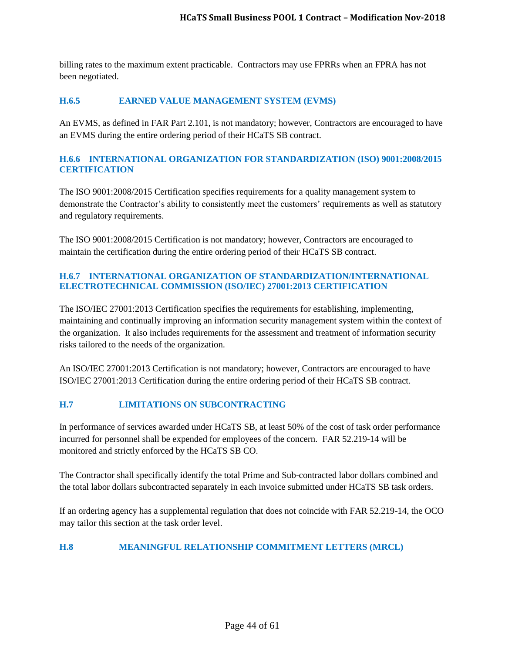billing rates to the maximum extent practicable. Contractors may use FPRRs when an FPRA has not been negotiated.

#### <span id="page-43-0"></span>**H.6.5 EARNED VALUE MANAGEMENT SYSTEM (EVMS)**

An EVMS, as defined in FAR Part 2.101, is not mandatory; however, Contractors are encouraged to have an EVMS during the entire ordering period of their HCaTS SB contract.

#### <span id="page-43-1"></span>**H.6.6 INTERNATIONAL ORGANIZATION FOR STANDARDIZATION (ISO) 9001:2008/2015 CERTIFICATION**

The ISO 9001:2008/2015 Certification specifies requirements for a quality management system to demonstrate the Contractor's ability to consistently meet the customers' requirements as well as statutory and regulatory requirements.

The ISO 9001:2008/2015 Certification is not mandatory; however, Contractors are encouraged to maintain the certification during the entire ordering period of their HCaTS SB contract.

#### <span id="page-43-2"></span>**H.6.7 INTERNATIONAL ORGANIZATION OF STANDARDIZATION/INTERNATIONAL ELECTROTECHNICAL COMMISSION (ISO/IEC) 27001:2013 CERTIFICATION**

The ISO/IEC 27001:2013 Certification specifies the requirements for establishing, implementing, maintaining and continually improving an information security management system within the context of the organization. It also includes requirements for the assessment and treatment of information security risks tailored to the needs of the organization.

An ISO/IEC 27001:2013 Certification is not mandatory; however, Contractors are encouraged to have ISO/IEC 27001:2013 Certification during the entire ordering period of their HCaTS SB contract.

## <span id="page-43-3"></span>**H.7 LIMITATIONS ON SUBCONTRACTING**

In performance of services awarded under HCaTS SB, at least 50% of the cost of task order performance incurred for personnel shall be expended for employees of the concern. FAR 52.219-14 will be monitored and strictly enforced by the HCaTS SB CO.

The Contractor shall specifically identify the total Prime and Sub-contracted labor dollars combined and the total labor dollars subcontracted separately in each invoice submitted under HCaTS SB task orders.

If an ordering agency has a supplemental regulation that does not coincide with FAR 52.219-14, the OCO may tailor this section at the task order level.

#### <span id="page-43-4"></span>**H.8 MEANINGFUL RELATIONSHIP COMMITMENT LETTERS (MRCL)**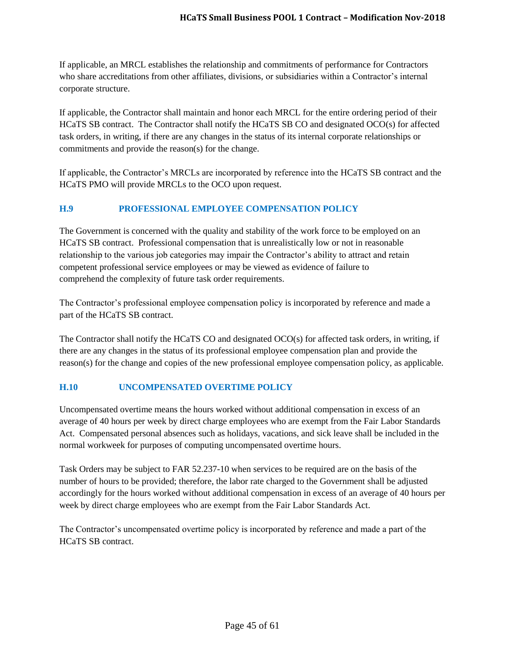If applicable, an MRCL establishes the relationship and commitments of performance for Contractors who share accreditations from other affiliates, divisions, or subsidiaries within a Contractor's internal corporate structure.

If applicable, the Contractor shall maintain and honor each MRCL for the entire ordering period of their HCaTS SB contract. The Contractor shall notify the HCaTS SB CO and designated OCO(s) for affected task orders, in writing, if there are any changes in the status of its internal corporate relationships or commitments and provide the reason(s) for the change.

If applicable, the Contractor's MRCLs are incorporated by reference into the HCaTS SB contract and the HCaTS PMO will provide MRCLs to the OCO upon request.

# <span id="page-44-0"></span>**H.9 PROFESSIONAL EMPLOYEE COMPENSATION POLICY**

The Government is concerned with the quality and stability of the work force to be employed on an HCaTS SB contract. Professional compensation that is unrealistically low or not in reasonable relationship to the various job categories may impair the Contractor's ability to attract and retain competent professional service employees or may be viewed as evidence of failure to comprehend the complexity of future task order requirements.

The Contractor's professional employee compensation policy is incorporated by reference and made a part of the HCaTS SB contract.

The Contractor shall notify the HCaTS CO and designated OCO(s) for affected task orders, in writing, if there are any changes in the status of its professional employee compensation plan and provide the reason(s) for the change and copies of the new professional employee compensation policy, as applicable.

#### <span id="page-44-1"></span>**H.10 UNCOMPENSATED OVERTIME POLICY**

Uncompensated overtime means the hours worked without additional compensation in excess of an average of 40 hours per week by direct charge employees who are exempt from the Fair Labor Standards Act. Compensated personal absences such as holidays, vacations, and sick leave shall be included in the normal workweek for purposes of computing uncompensated overtime hours.

Task Orders may be subject to FAR 52.237-10 when services to be required are on the basis of the number of hours to be provided; therefore, the labor rate charged to the Government shall be adjusted accordingly for the hours worked without additional compensation in excess of an average of 40 hours per week by direct charge employees who are exempt from the Fair Labor Standards Act.

The Contractor's uncompensated overtime policy is incorporated by reference and made a part of the HCaTS SB contract.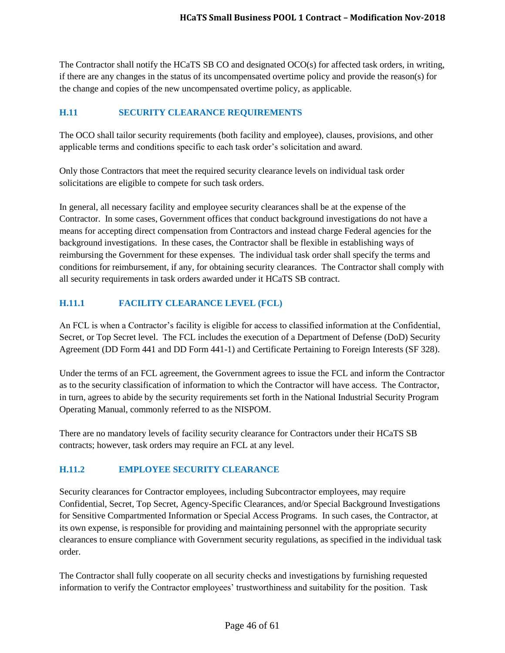The Contractor shall notify the HCaTS SB CO and designated OCO(s) for affected task orders, in writing, if there are any changes in the status of its uncompensated overtime policy and provide the reason(s) for the change and copies of the new uncompensated overtime policy, as applicable.

## <span id="page-45-0"></span>**H.11 SECURITY CLEARANCE REQUIREMENTS**

The OCO shall tailor security requirements (both facility and employee), clauses, provisions, and other applicable terms and conditions specific to each task order's solicitation and award.

Only those Contractors that meet the required security clearance levels on individual task order solicitations are eligible to compete for such task orders.

In general, all necessary facility and employee security clearances shall be at the expense of the Contractor. In some cases, Government offices that conduct background investigations do not have a means for accepting direct compensation from Contractors and instead charge Federal agencies for the background investigations. In these cases, the Contractor shall be flexible in establishing ways of reimbursing the Government for these expenses. The individual task order shall specify the terms and conditions for reimbursement, if any, for obtaining security clearances. The Contractor shall comply with all security requirements in task orders awarded under it HCaTS SB contract.

# <span id="page-45-1"></span>**H.11.1 FACILITY CLEARANCE LEVEL (FCL)**

An FCL is when a Contractor's facility is eligible for access to classified information at the Confidential, Secret, or Top Secret level. The FCL includes the execution of a Department of Defense (DoD) Security Agreement (DD Form 441 and DD Form 441-1) and Certificate Pertaining to Foreign Interests (SF 328).

Under the terms of an FCL agreement, the Government agrees to issue the FCL and inform the Contractor as to the security classification of information to which the Contractor will have access. The Contractor, in turn, agrees to abide by the security requirements set forth in the National Industrial Security Program Operating Manual, commonly referred to as the NISPOM.

There are no mandatory levels of facility security clearance for Contractors under their HCaTS SB contracts; however, task orders may require an FCL at any level.

# <span id="page-45-2"></span>**H.11.2 EMPLOYEE SECURITY CLEARANCE**

Security clearances for Contractor employees, including Subcontractor employees, may require Confidential, Secret, Top Secret, Agency-Specific Clearances, and/or Special Background Investigations for Sensitive Compartmented Information or Special Access Programs. In such cases, the Contractor, at its own expense, is responsible for providing and maintaining personnel with the appropriate security clearances to ensure compliance with Government security regulations, as specified in the individual task order.

The Contractor shall fully cooperate on all security checks and investigations by furnishing requested information to verify the Contractor employees' trustworthiness and suitability for the position. Task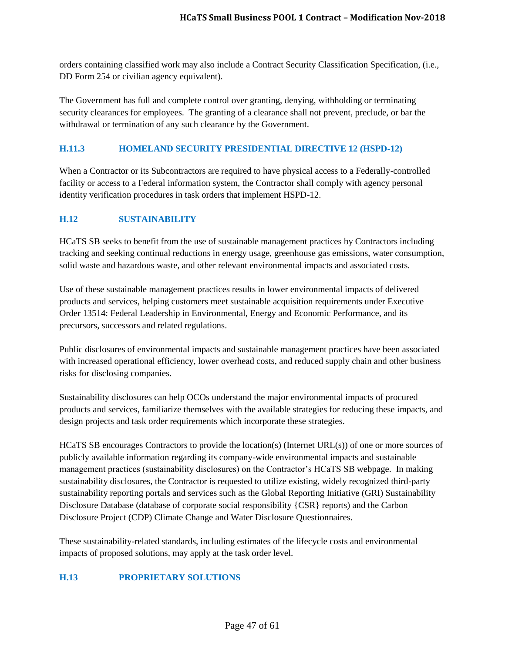orders containing classified work may also include a Contract Security Classification Specification, (i.e., DD Form 254 or civilian agency equivalent).

The Government has full and complete control over granting, denying, withholding or terminating security clearances for employees. The granting of a clearance shall not prevent, preclude, or bar the withdrawal or termination of any such clearance by the Government.

#### <span id="page-46-0"></span>**H.11.3 HOMELAND SECURITY PRESIDENTIAL DIRECTIVE 12 (HSPD-12)**

When a Contractor or its Subcontractors are required to have physical access to a Federally-controlled facility or access to a Federal information system, the Contractor shall comply with agency personal identity verification procedures in task orders that implement HSPD-12.

# <span id="page-46-1"></span>**H.12 SUSTAINABILITY**

HCaTS SB seeks to benefit from the use of sustainable management practices by Contractors including tracking and seeking continual reductions in energy usage, greenhouse gas emissions, water consumption, solid waste and hazardous waste, and other relevant environmental impacts and associated costs.

Use of these sustainable management practices results in lower environmental impacts of delivered products and services, helping customers meet sustainable acquisition requirements under Executive Order 13514: Federal Leadership in Environmental, Energy and Economic Performance, and its precursors, successors and related regulations.

Public disclosures of environmental impacts and sustainable management practices have been associated with increased operational efficiency, lower overhead costs, and reduced supply chain and other business risks for disclosing companies.

Sustainability disclosures can help OCOs understand the major environmental impacts of procured products and services, familiarize themselves with the available strategies for reducing these impacts, and design projects and task order requirements which incorporate these strategies.

HCaTS SB encourages Contractors to provide the location(s) (Internet URL(s)) of one or more sources of publicly available information regarding its company-wide environmental impacts and sustainable management practices (sustainability disclosures) on the Contractor's HCaTS SB webpage. In making sustainability disclosures, the Contractor is requested to utilize existing, widely recognized third-party sustainability reporting portals and services such as the Global Reporting Initiative (GRI) Sustainability Disclosure Database (database of corporate social responsibility {CSR} reports) and the Carbon Disclosure Project (CDP) Climate Change and Water Disclosure Questionnaires.

These sustainability-related standards, including estimates of the lifecycle costs and environmental impacts of proposed solutions, may apply at the task order level.

# <span id="page-46-2"></span>**H.13 PROPRIETARY SOLUTIONS**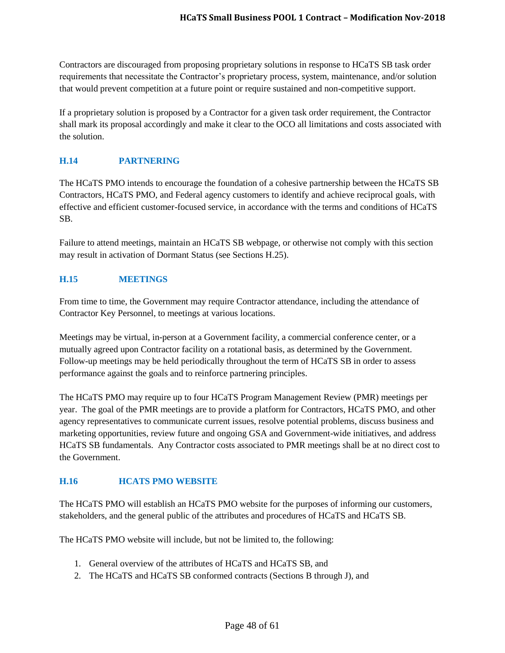Contractors are discouraged from proposing proprietary solutions in response to HCaTS SB task order requirements that necessitate the Contractor's proprietary process, system, maintenance, and/or solution that would prevent competition at a future point or require sustained and non-competitive support.

If a proprietary solution is proposed by a Contractor for a given task order requirement, the Contractor shall mark its proposal accordingly and make it clear to the OCO all limitations and costs associated with the solution.

# <span id="page-47-0"></span>**H.14 PARTNERING**

The HCaTS PMO intends to encourage the foundation of a cohesive partnership between the HCaTS SB Contractors, HCaTS PMO, and Federal agency customers to identify and achieve reciprocal goals, with effective and efficient customer-focused service, in accordance with the terms and conditions of HCaTS SB.

Failure to attend meetings, maintain an HCaTS SB webpage, or otherwise not comply with this section may result in activation of Dormant Status (see Sections H.25).

# <span id="page-47-1"></span>**H.15 MEETINGS**

From time to time, the Government may require Contractor attendance, including the attendance of Contractor Key Personnel, to meetings at various locations.

Meetings may be virtual, in-person at a Government facility, a commercial conference center, or a mutually agreed upon Contractor facility on a rotational basis, as determined by the Government. Follow-up meetings may be held periodically throughout the term of HCaTS SB in order to assess performance against the goals and to reinforce partnering principles.

The HCaTS PMO may require up to four HCaTS Program Management Review (PMR) meetings per year. The goal of the PMR meetings are to provide a platform for Contractors, HCaTS PMO, and other agency representatives to communicate current issues, resolve potential problems, discuss business and marketing opportunities, review future and ongoing GSA and Government-wide initiatives, and address HCaTS SB fundamentals. Any Contractor costs associated to PMR meetings shall be at no direct cost to the Government.

# <span id="page-47-2"></span>**H.16 HCATS PMO WEBSITE**

The HCaTS PMO will establish an HCaTS PMO website for the purposes of informing our customers, stakeholders, and the general public of the attributes and procedures of HCaTS and HCaTS SB.

The HCaTS PMO website will include, but not be limited to, the following:

- 1. General overview of the attributes of HCaTS and HCaTS SB, and
- 2. The HCaTS and HCaTS SB conformed contracts (Sections B through J), and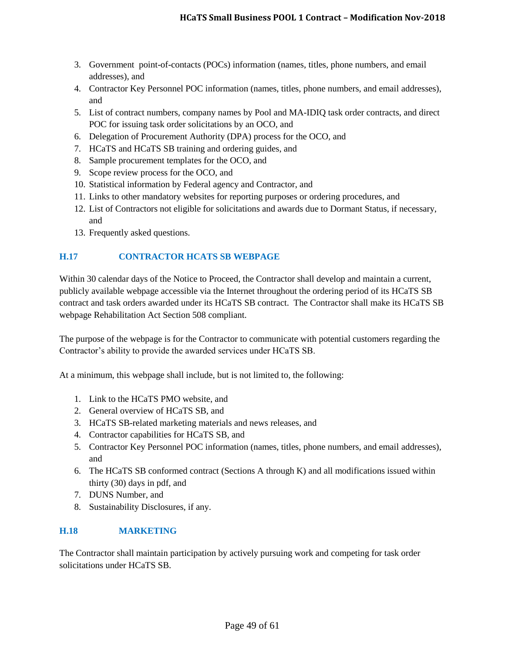- 3. Government point-of-contacts (POCs) information (names, titles, phone numbers, and email addresses), and
- 4. Contractor Key Personnel POC information (names, titles, phone numbers, and email addresses), and
- 5. List of contract numbers, company names by Pool and MA-IDIQ task order contracts, and direct POC for issuing task order solicitations by an OCO, and
- 6. Delegation of Procurement Authority (DPA) process for the OCO, and
- 7. HCaTS and HCaTS SB training and ordering guides, and
- 8. Sample procurement templates for the OCO, and
- 9. Scope review process for the OCO, and
- 10. Statistical information by Federal agency and Contractor, and
- 11. Links to other mandatory websites for reporting purposes or ordering procedures, and
- 12. List of Contractors not eligible for solicitations and awards due to Dormant Status, if necessary, and
- 13. Frequently asked questions.

# <span id="page-48-0"></span>**H.17 CONTRACTOR HCATS SB WEBPAGE**

Within 30 calendar days of the Notice to Proceed, the Contractor shall develop and maintain a current, publicly available webpage accessible via the Internet throughout the ordering period of its HCaTS SB contract and task orders awarded under its HCaTS SB contract. The Contractor shall make its HCaTS SB webpage Rehabilitation Act Section 508 compliant.

The purpose of the webpage is for the Contractor to communicate with potential customers regarding the Contractor's ability to provide the awarded services under HCaTS SB.

At a minimum, this webpage shall include, but is not limited to, the following:

- 1. Link to the HCaTS PMO website, and
- 2. General overview of HCaTS SB, and
- 3. HCaTS SB-related marketing materials and news releases, and
- 4. Contractor capabilities for HCaTS SB, and
- 5. Contractor Key Personnel POC information (names, titles, phone numbers, and email addresses), and
- 6. The HCaTS SB conformed contract (Sections A through K) and all modifications issued within thirty (30) days in pdf, and
- 7. DUNS Number, and
- 8. Sustainability Disclosures, if any.

# <span id="page-48-1"></span>**H.18 MARKETING**

The Contractor shall maintain participation by actively pursuing work and competing for task order solicitations under HCaTS SB.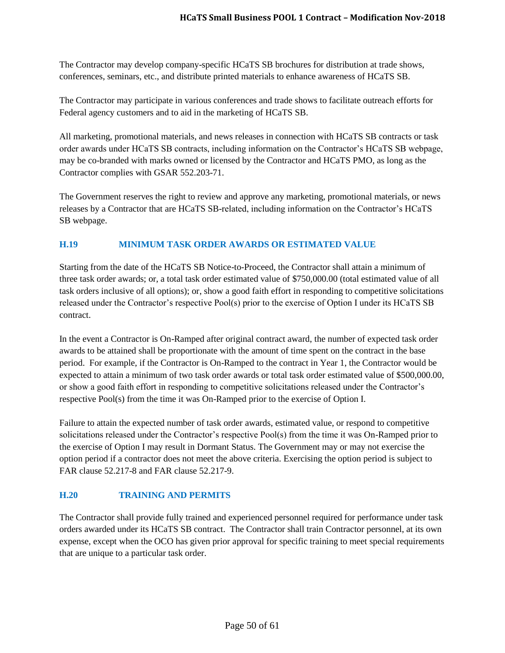The Contractor may develop company-specific HCaTS SB brochures for distribution at trade shows, conferences, seminars, etc., and distribute printed materials to enhance awareness of HCaTS SB.

The Contractor may participate in various conferences and trade shows to facilitate outreach efforts for Federal agency customers and to aid in the marketing of HCaTS SB.

All marketing, promotional materials, and news releases in connection with HCaTS SB contracts or task order awards under HCaTS SB contracts, including information on the Contractor's HCaTS SB webpage, may be co-branded with marks owned or licensed by the Contractor and HCaTS PMO, as long as the Contractor complies with GSAR 552.203-71.

The Government reserves the right to review and approve any marketing, promotional materials, or news releases by a Contractor that are HCaTS SB-related, including information on the Contractor's HCaTS SB webpage.

# <span id="page-49-0"></span>**H.19 MINIMUM TASK ORDER AWARDS OR ESTIMATED VALUE**

Starting from the date of the HCaTS SB Notice-to-Proceed, the Contractor shall attain a minimum of three task order awards; or, a total task order estimated value of \$750,000.00 (total estimated value of all task orders inclusive of all options); or, show a good faith effort in responding to competitive solicitations released under the Contractor's respective Pool(s) prior to the exercise of Option I under its HCaTS SB contract.

In the event a Contractor is On-Ramped after original contract award, the number of expected task order awards to be attained shall be proportionate with the amount of time spent on the contract in the base period. For example, if the Contractor is On-Ramped to the contract in Year 1, the Contractor would be expected to attain a minimum of two task order awards or total task order estimated value of \$500,000.00, or show a good faith effort in responding to competitive solicitations released under the Contractor's respective Pool(s) from the time it was On-Ramped prior to the exercise of Option I.

Failure to attain the expected number of task order awards, estimated value, or respond to competitive solicitations released under the Contractor's respective Pool(s) from the time it was On-Ramped prior to the exercise of Option I may result in Dormant Status. The Government may or may not exercise the option period if a contractor does not meet the above criteria. Exercising the option period is subject to FAR clause 52.217-8 and FAR clause 52.217-9.

# <span id="page-49-1"></span>**H.20 TRAINING AND PERMITS**

The Contractor shall provide fully trained and experienced personnel required for performance under task orders awarded under its HCaTS SB contract. The Contractor shall train Contractor personnel, at its own expense, except when the OCO has given prior approval for specific training to meet special requirements that are unique to a particular task order.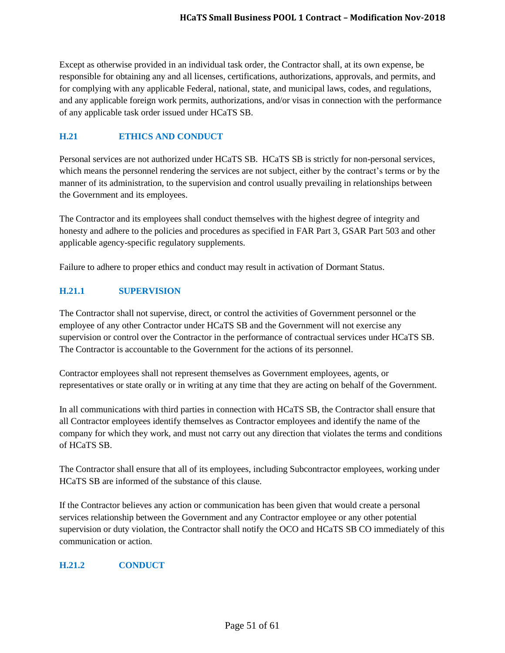Except as otherwise provided in an individual task order, the Contractor shall, at its own expense, be responsible for obtaining any and all licenses, certifications, authorizations, approvals, and permits, and for complying with any applicable Federal, national, state, and municipal laws, codes, and regulations, and any applicable foreign work permits, authorizations, and/or visas in connection with the performance of any applicable task order issued under HCaTS SB.

# <span id="page-50-0"></span>**H.21 ETHICS AND CONDUCT**

Personal services are not authorized under HCaTS SB. HCaTS SB is strictly for non-personal services, which means the personnel rendering the services are not subject, either by the contract's terms or by the manner of its administration, to the supervision and control usually prevailing in relationships between the Government and its employees.

The Contractor and its employees shall conduct themselves with the highest degree of integrity and honesty and adhere to the policies and procedures as specified in FAR Part 3, GSAR Part 503 and other applicable agency-specific regulatory supplements.

Failure to adhere to proper ethics and conduct may result in activation of Dormant Status.

## <span id="page-50-1"></span>**H.21.1 SUPERVISION**

The Contractor shall not supervise, direct, or control the activities of Government personnel or the employee of any other Contractor under HCaTS SB and the Government will not exercise any supervision or control over the Contractor in the performance of contractual services under HCaTS SB. The Contractor is accountable to the Government for the actions of its personnel.

Contractor employees shall not represent themselves as Government employees, agents, or representatives or state orally or in writing at any time that they are acting on behalf of the Government.

In all communications with third parties in connection with HCaTS SB, the Contractor shall ensure that all Contractor employees identify themselves as Contractor employees and identify the name of the company for which they work, and must not carry out any direction that violates the terms and conditions of HCaTS SB.

The Contractor shall ensure that all of its employees, including Subcontractor employees, working under HCaTS SB are informed of the substance of this clause.

If the Contractor believes any action or communication has been given that would create a personal services relationship between the Government and any Contractor employee or any other potential supervision or duty violation, the Contractor shall notify the OCO and HCaTS SB CO immediately of this communication or action.

#### <span id="page-50-2"></span>**H.21.2 CONDUCT**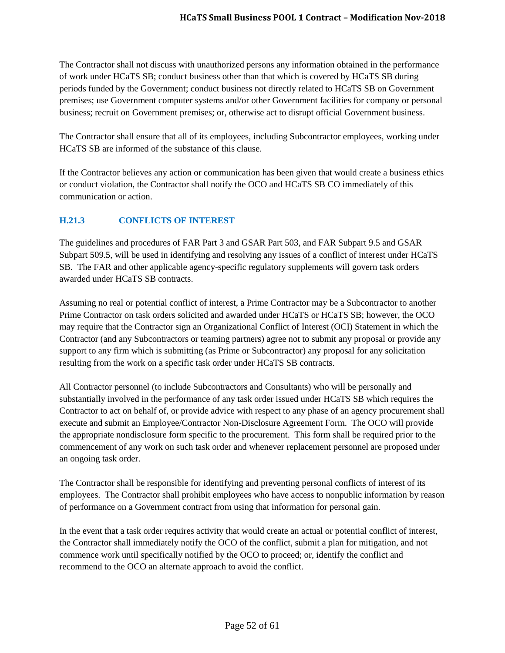The Contractor shall not discuss with unauthorized persons any information obtained in the performance of work under HCaTS SB; conduct business other than that which is covered by HCaTS SB during periods funded by the Government; conduct business not directly related to HCaTS SB on Government premises; use Government computer systems and/or other Government facilities for company or personal business; recruit on Government premises; or, otherwise act to disrupt official Government business.

The Contractor shall ensure that all of its employees, including Subcontractor employees, working under HCaTS SB are informed of the substance of this clause.

If the Contractor believes any action or communication has been given that would create a business ethics or conduct violation, the Contractor shall notify the OCO and HCaTS SB CO immediately of this communication or action.

# <span id="page-51-0"></span>**H.21.3 CONFLICTS OF INTEREST**

The guidelines and procedures of FAR Part 3 and GSAR Part 503, and FAR Subpart 9.5 and GSAR Subpart 509.5, will be used in identifying and resolving any issues of a conflict of interest under HCaTS SB. The FAR and other applicable agency-specific regulatory supplements will govern task orders awarded under HCaTS SB contracts.

Assuming no real or potential conflict of interest, a Prime Contractor may be a Subcontractor to another Prime Contractor on task orders solicited and awarded under HCaTS or HCaTS SB; however, the OCO may require that the Contractor sign an Organizational Conflict of Interest (OCI) Statement in which the Contractor (and any Subcontractors or teaming partners) agree not to submit any proposal or provide any support to any firm which is submitting (as Prime or Subcontractor) any proposal for any solicitation resulting from the work on a specific task order under HCaTS SB contracts.

All Contractor personnel (to include Subcontractors and Consultants) who will be personally and substantially involved in the performance of any task order issued under HCaTS SB which requires the Contractor to act on behalf of, or provide advice with respect to any phase of an agency procurement shall execute and submit an Employee/Contractor Non-Disclosure Agreement Form. The OCO will provide the appropriate nondisclosure form specific to the procurement. This form shall be required prior to the commencement of any work on such task order and whenever replacement personnel are proposed under an ongoing task order.

The Contractor shall be responsible for identifying and preventing personal conflicts of interest of its employees. The Contractor shall prohibit employees who have access to nonpublic information by reason of performance on a Government contract from using that information for personal gain.

In the event that a task order requires activity that would create an actual or potential conflict of interest, the Contractor shall immediately notify the OCO of the conflict, submit a plan for mitigation, and not commence work until specifically notified by the OCO to proceed; or, identify the conflict and recommend to the OCO an alternate approach to avoid the conflict.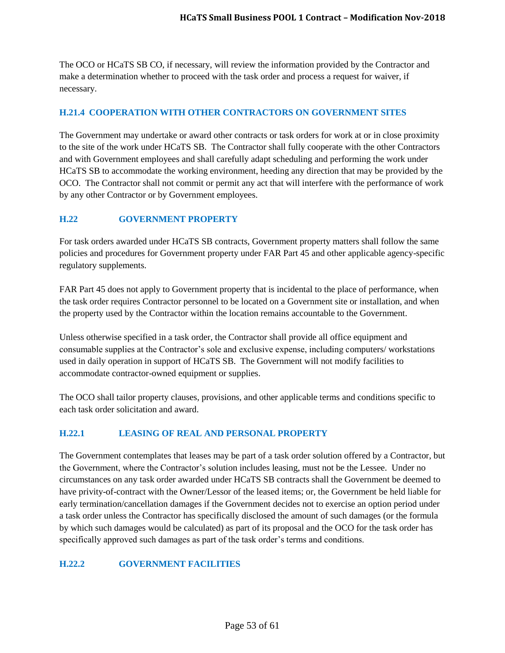The OCO or HCaTS SB CO, if necessary, will review the information provided by the Contractor and make a determination whether to proceed with the task order and process a request for waiver, if necessary.

#### <span id="page-52-0"></span>**H.21.4 COOPERATION WITH OTHER CONTRACTORS ON GOVERNMENT SITES**

The Government may undertake or award other contracts or task orders for work at or in close proximity to the site of the work under HCaTS SB. The Contractor shall fully cooperate with the other Contractors and with Government employees and shall carefully adapt scheduling and performing the work under HCaTS SB to accommodate the working environment, heeding any direction that may be provided by the OCO. The Contractor shall not commit or permit any act that will interfere with the performance of work by any other Contractor or by Government employees.

## <span id="page-52-1"></span>**H.22 GOVERNMENT PROPERTY**

For task orders awarded under HCaTS SB contracts, Government property matters shall follow the same policies and procedures for Government property under FAR Part 45 and other applicable agency-specific regulatory supplements.

FAR Part 45 does not apply to Government property that is incidental to the place of performance, when the task order requires Contractor personnel to be located on a Government site or installation, and when the property used by the Contractor within the location remains accountable to the Government.

Unless otherwise specified in a task order, the Contractor shall provide all office equipment and consumable supplies at the Contractor's sole and exclusive expense, including computers/ workstations used in daily operation in support of HCaTS SB. The Government will not modify facilities to accommodate contractor-owned equipment or supplies.

The OCO shall tailor property clauses, provisions, and other applicable terms and conditions specific to each task order solicitation and award.

#### <span id="page-52-2"></span>**H.22.1 LEASING OF REAL AND PERSONAL PROPERTY**

The Government contemplates that leases may be part of a task order solution offered by a Contractor, but the Government, where the Contractor's solution includes leasing, must not be the Lessee. Under no circumstances on any task order awarded under HCaTS SB contracts shall the Government be deemed to have privity-of-contract with the Owner/Lessor of the leased items; or, the Government be held liable for early termination/cancellation damages if the Government decides not to exercise an option period under a task order unless the Contractor has specifically disclosed the amount of such damages (or the formula by which such damages would be calculated) as part of its proposal and the OCO for the task order has specifically approved such damages as part of the task order's terms and conditions.

# <span id="page-52-3"></span>**H.22.2 GOVERNMENT FACILITIES**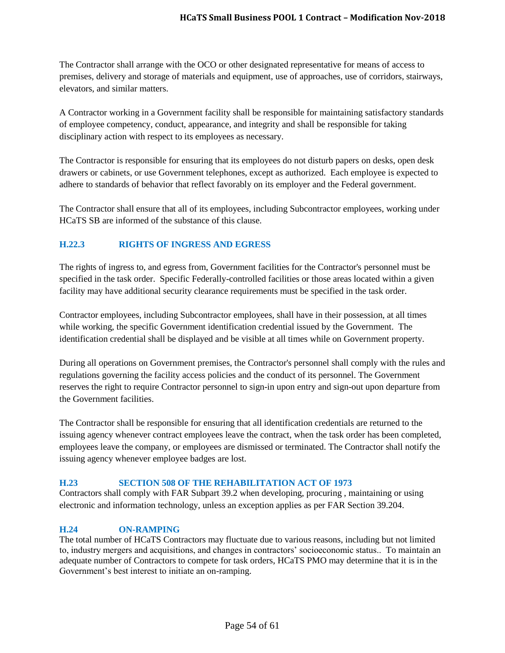The Contractor shall arrange with the OCO or other designated representative for means of access to premises, delivery and storage of materials and equipment, use of approaches, use of corridors, stairways, elevators, and similar matters.

A Contractor working in a Government facility shall be responsible for maintaining satisfactory standards of employee competency, conduct, appearance, and integrity and shall be responsible for taking disciplinary action with respect to its employees as necessary.

The Contractor is responsible for ensuring that its employees do not disturb papers on desks, open desk drawers or cabinets, or use Government telephones, except as authorized. Each employee is expected to adhere to standards of behavior that reflect favorably on its employer and the Federal government.

The Contractor shall ensure that all of its employees, including Subcontractor employees, working under HCaTS SB are informed of the substance of this clause.

# <span id="page-53-0"></span>**H.22.3 RIGHTS OF INGRESS AND EGRESS**

The rights of ingress to, and egress from, Government facilities for the Contractor's personnel must be specified in the task order. Specific Federally-controlled facilities or those areas located within a given facility may have additional security clearance requirements must be specified in the task order.

Contractor employees, including Subcontractor employees, shall have in their possession, at all times while working, the specific Government identification credential issued by the Government. The identification credential shall be displayed and be visible at all times while on Government property.

During all operations on Government premises, the Contractor's personnel shall comply with the rules and regulations governing the facility access policies and the conduct of its personnel. The Government reserves the right to require Contractor personnel to sign-in upon entry and sign-out upon departure from the Government facilities.

The Contractor shall be responsible for ensuring that all identification credentials are returned to the issuing agency whenever contract employees leave the contract, when the task order has been completed, employees leave the company, or employees are dismissed or terminated. The Contractor shall notify the issuing agency whenever employee badges are lost.

# <span id="page-53-1"></span>**H.23 SECTION 508 OF THE REHABILITATION ACT OF 1973**

Contractors shall comply with FAR Subpart 39.2 when developing, procuring , maintaining or using electronic and information technology, unless an exception applies as per FAR Section 39.204.

# <span id="page-53-2"></span>**H.24 ON-RAMPING**

The total number of HCaTS Contractors may fluctuate due to various reasons, including but not limited to, industry mergers and acquisitions, and changes in contractors' socioeconomic status.. To maintain an adequate number of Contractors to compete for task orders, HCaTS PMO may determine that it is in the Government's best interest to initiate an on-ramping.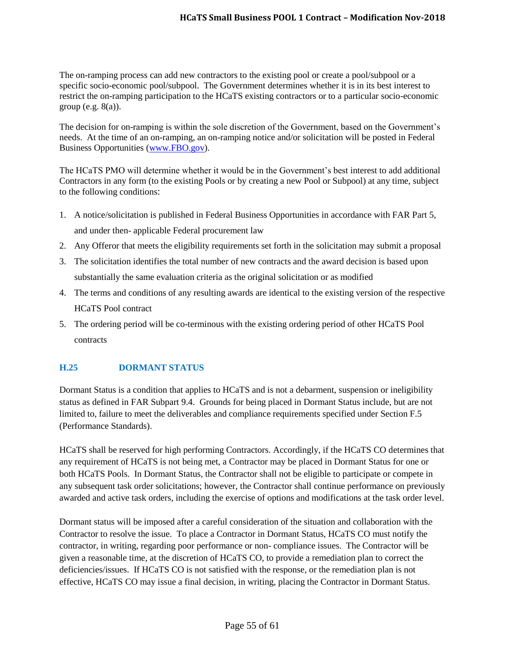The on-ramping process can add new contractors to the existing pool or create a pool/subpool or a specific socio-economic pool/subpool. The Government determines whether it is in its best interest to restrict the on-ramping participation to the HCaTS existing contractors or to a particular socio-economic group (e.g.  $8(a)$ ).

The decision for on-ramping is within the sole discretion of the Government, based on the Government's needs. At the time of an on-ramping, an on-ramping notice and/or solicitation will be posted in Federal Business Opportunities [\(www.FBO.gov\)](http://www.fbo.gov/).

The HCaTS PMO will determine whether it would be in the Government's best interest to add additional Contractors in any form (to the existing Pools or by creating a new Pool or Subpool) at any time, subject to the following conditions:

- 1. A notice/solicitation is published in Federal Business Opportunities in accordance with FAR Part 5, and under then- applicable Federal procurement law
- 2. Any Offeror that meets the eligibility requirements set forth in the solicitation may submit a proposal
- 3. The solicitation identifies the total number of new contracts and the award decision is based upon substantially the same evaluation criteria as the original solicitation or as modified
- 4. The terms and conditions of any resulting awards are identical to the existing version of the respective HCaTS Pool contract
- 5. The ordering period will be co-terminous with the existing ordering period of other HCaTS Pool contracts

# <span id="page-54-0"></span>**H.25 DORMANT STATUS**

Dormant Status is a condition that applies to HCaTS and is not a debarment, suspension or ineligibility status as defined in FAR Subpart 9.4. Grounds for being placed in Dormant Status include, but are not limited to, failure to meet the deliverables and compliance requirements specified under Section F.5 (Performance Standards).

HCaTS shall be reserved for high performing Contractors. Accordingly, if the HCaTS CO determines that any requirement of HCaTS is not being met, a Contractor may be placed in Dormant Status for one or both HCaTS Pools. In Dormant Status, the Contractor shall not be eligible to participate or compete in any subsequent task order solicitations; however, the Contractor shall continue performance on previously awarded and active task orders, including the exercise of options and modifications at the task order level.

Dormant status will be imposed after a careful consideration of the situation and collaboration with the Contractor to resolve the issue. To place a Contractor in Dormant Status, HCaTS CO must notify the contractor, in writing, regarding poor performance or non- compliance issues. The Contractor will be given a reasonable time, at the discretion of HCaTS CO, to provide a remediation plan to correct the deficiencies/issues. If HCaTS CO is not satisfied with the response, or the remediation plan is not effective, HCaTS CO may issue a final decision, in writing, placing the Contractor in Dormant Status.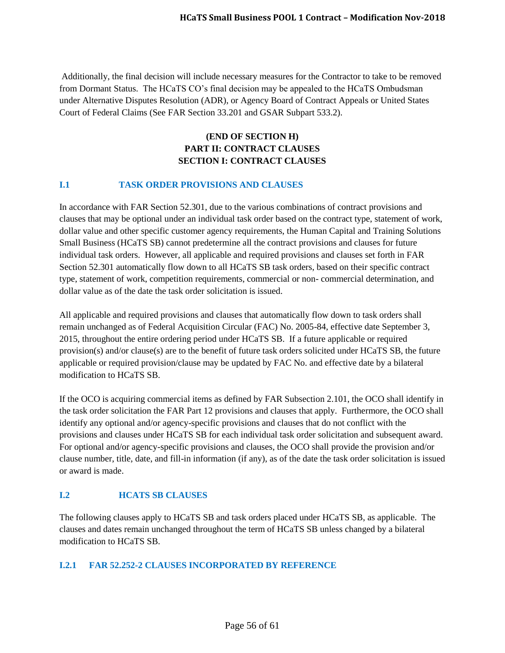Additionally, the final decision will include necessary measures for the Contractor to take to be removed from Dormant Status. The HCaTS CO's final decision may be appealed to the HCaTS Ombudsman under Alternative Disputes Resolution (ADR), or Agency Board of Contract Appeals or United States Court of Federal Claims (See FAR Section 33.201 and GSAR Subpart 533.2).

# **(END OF SECTION H) PART II: CONTRACT CLAUSES SECTION I: CONTRACT CLAUSES**

# <span id="page-55-0"></span>**I.1 TASK ORDER PROVISIONS AND CLAUSES**

In accordance with FAR Section 52.301, due to the various combinations of contract provisions and clauses that may be optional under an individual task order based on the contract type, statement of work, dollar value and other specific customer agency requirements, the Human Capital and Training Solutions Small Business (HCaTS SB) cannot predetermine all the contract provisions and clauses for future individual task orders. However, all applicable and required provisions and clauses set forth in FAR Section 52.301 automatically flow down to all HCaTS SB task orders, based on their specific contract type, statement of work, competition requirements, commercial or non- commercial determination, and dollar value as of the date the task order solicitation is issued.

All applicable and required provisions and clauses that automatically flow down to task orders shall remain unchanged as of Federal Acquisition Circular (FAC) No. 2005-84, effective date September 3, 2015, throughout the entire ordering period under HCaTS SB. If a future applicable or required provision(s) and/or clause(s) are to the benefit of future task orders solicited under HCaTS SB, the future applicable or required provision/clause may be updated by FAC No. and effective date by a bilateral modification to HCaTS SB.

If the OCO is acquiring commercial items as defined by FAR Subsection 2.101, the OCO shall identify in the task order solicitation the FAR Part 12 provisions and clauses that apply. Furthermore, the OCO shall identify any optional and/or agency-specific provisions and clauses that do not conflict with the provisions and clauses under HCaTS SB for each individual task order solicitation and subsequent award. For optional and/or agency-specific provisions and clauses, the OCO shall provide the provision and/or clause number, title, date, and fill-in information (if any), as of the date the task order solicitation is issued or award is made.

# <span id="page-55-1"></span>**I.2 HCATS SB CLAUSES**

The following clauses apply to HCaTS SB and task orders placed under HCaTS SB, as applicable. The clauses and dates remain unchanged throughout the term of HCaTS SB unless changed by a bilateral modification to HCaTS SB.

# <span id="page-55-2"></span>**I.2.1 FAR 52.252-2 CLAUSES INCORPORATED BY REFERENCE**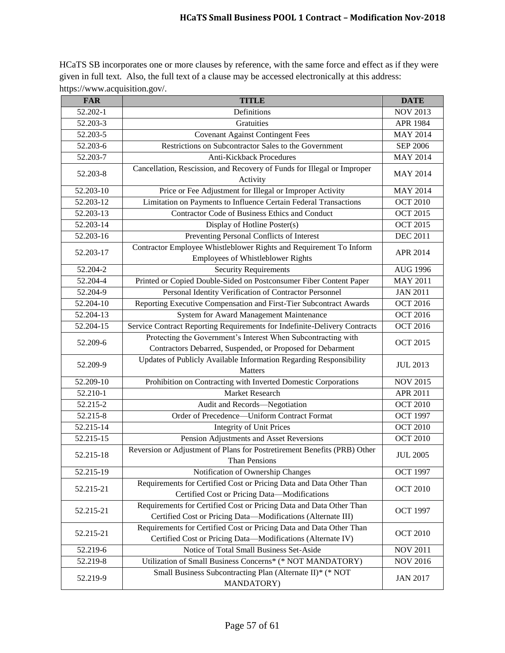HCaTS SB incorporates one or more clauses by reference, with the same force and effect as if they were given in full text. Also, the full text of a clause may be accessed electronically at this address: https://www.acquisition.gov/.

| <b>FAR</b>    | <b>TITLE</b>                                                                                                                        | <b>DATE</b>     |
|---------------|-------------------------------------------------------------------------------------------------------------------------------------|-----------------|
| 52.202-1      | Definitions                                                                                                                         | <b>NOV 2013</b> |
| 52.203-3      | Gratuities                                                                                                                          | APR 1984        |
| 52.203-5      | <b>Covenant Against Contingent Fees</b>                                                                                             | <b>MAY 2014</b> |
| 52.203-6      | Restrictions on Subcontractor Sales to the Government                                                                               | <b>SEP 2006</b> |
| 52.203-7      | <b>Anti-Kickback Procedures</b>                                                                                                     | <b>MAY 2014</b> |
| 52.203-8      | Cancellation, Rescission, and Recovery of Funds for Illegal or Improper<br>Activity                                                 | <b>MAY 2014</b> |
| 52.203-10     | Price or Fee Adjustment for Illegal or Improper Activity                                                                            | <b>MAY 2014</b> |
| $52.203 - 12$ | Limitation on Payments to Influence Certain Federal Transactions                                                                    | <b>OCT 2010</b> |
| 52.203-13     | <b>Contractor Code of Business Ethics and Conduct</b>                                                                               | <b>OCT 2015</b> |
| 52.203-14     | Display of Hotline Poster(s)                                                                                                        | <b>OCT 2015</b> |
| 52.203-16     | Preventing Personal Conflicts of Interest                                                                                           | <b>DEC 2011</b> |
| 52.203-17     | Contractor Employee Whistleblower Rights and Requirement To Inform<br>Employees of Whistleblower Rights                             | APR 2014        |
| 52.204-2      | <b>Security Requirements</b>                                                                                                        | <b>AUG 1996</b> |
| 52.204-4      | Printed or Copied Double-Sided on Postconsumer Fiber Content Paper                                                                  | <b>MAY 2011</b> |
| 52.204-9      | Personal Identity Verification of Contractor Personnel                                                                              | <b>JAN 2011</b> |
| $52.204 - 10$ | Reporting Executive Compensation and First-Tier Subcontract Awards                                                                  | <b>OCT 2016</b> |
| 52.204-13     | System for Award Management Maintenance                                                                                             | <b>OCT 2016</b> |
| 52.204-15     | Service Contract Reporting Requirements for Indefinite-Delivery Contracts                                                           | <b>OCT 2016</b> |
| 52.209-6      | Protecting the Government's Interest When Subcontracting with<br>Contractors Debarred, Suspended, or Proposed for Debarment         | <b>OCT 2015</b> |
| 52.209-9      | Updates of Publicly Available Information Regarding Responsibility<br>Matters                                                       | <b>JUL 2013</b> |
| 52.209-10     | Prohibition on Contracting with Inverted Domestic Corporations                                                                      | <b>NOV 2015</b> |
| 52.210-1      | Market Research                                                                                                                     | APR 2011        |
| 52.215-2      | Audit and Records-Negotiation                                                                                                       | <b>OCT 2010</b> |
| 52.215-8      | Order of Precedence-Uniform Contract Format                                                                                         | <b>OCT 1997</b> |
| 52.215-14     | <b>Integrity of Unit Prices</b>                                                                                                     | <b>OCT 2010</b> |
| 52.215-15     | Pension Adjustments and Asset Reversions                                                                                            | <b>OCT 2010</b> |
| 52.215-18     | Reversion or Adjustment of Plans for Postretirement Benefits (PRB) Other<br>Than Pensions                                           | <b>JUL 2005</b> |
| 52.215-19     | Notification of Ownership Changes                                                                                                   | <b>OCT 1997</b> |
| 52.215-21     | Requirements for Certified Cost or Pricing Data and Data Other Than<br>Certified Cost or Pricing Data-Modifications                 | <b>OCT 2010</b> |
| 52.215-21     | Requirements for Certified Cost or Pricing Data and Data Other Than<br>Certified Cost or Pricing Data-Modifications (Alternate III) | <b>OCT 1997</b> |
| 52.215-21     | Requirements for Certified Cost or Pricing Data and Data Other Than<br>Certified Cost or Pricing Data-Modifications (Alternate IV)  | <b>OCT 2010</b> |
| 52.219-6      | Notice of Total Small Business Set-Aside                                                                                            | <b>NOV 2011</b> |
| 52.219-8      | Utilization of Small Business Concerns* (* NOT MANDATORY)                                                                           | <b>NOV 2016</b> |
| 52.219-9      | Small Business Subcontracting Plan (Alternate II)* (* NOT<br>MANDATORY)                                                             | <b>JAN 2017</b> |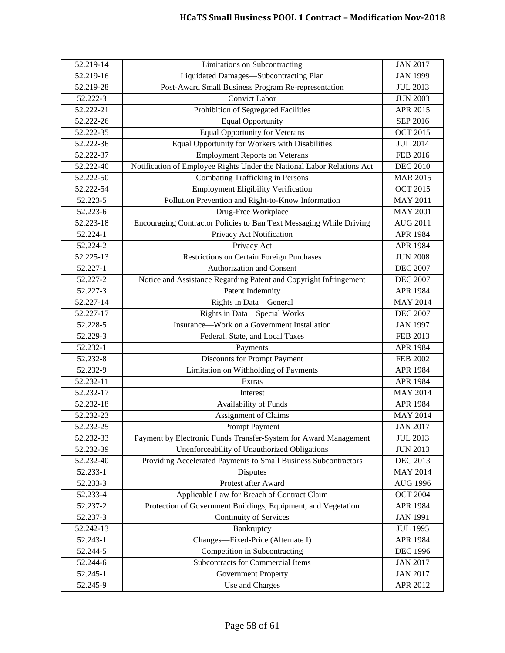| 52.219-14     | Limitations on Subcontracting                                          | <b>JAN 2017</b> |
|---------------|------------------------------------------------------------------------|-----------------|
| 52.219-16     | Liquidated Damages-Subcontracting Plan                                 | <b>JAN 1999</b> |
| 52.219-28     | Post-Award Small Business Program Re-representation                    | <b>JUL 2013</b> |
| 52.222-3      | <b>Convict Labor</b>                                                   | <b>JUN 2003</b> |
| 52.222-21     | Prohibition of Segregated Facilities                                   | APR 2015        |
| 52.222-26     | <b>Equal Opportunity</b>                                               | SEP 2016        |
| 52.222-35     | <b>Equal Opportunity for Veterans</b>                                  | <b>OCT 2015</b> |
| 52.222-36     | Equal Opportunity for Workers with Disabilities                        | <b>JUL 2014</b> |
| 52.222-37     | <b>Employment Reports on Veterans</b>                                  | <b>FEB 2016</b> |
| 52.222-40     | Notification of Employee Rights Under the National Labor Relations Act | <b>DEC 2010</b> |
| 52.222-50     | Combating Trafficking in Persons                                       | <b>MAR 2015</b> |
| 52.222-54     | <b>Employment Eligibility Verification</b>                             | <b>OCT 2015</b> |
| 52.223-5      | Pollution Prevention and Right-to-Know Information                     | <b>MAY 2011</b> |
| 52.223-6      | Drug-Free Workplace                                                    | <b>MAY 2001</b> |
| $52.223 - 18$ | Encouraging Contractor Policies to Ban Text Messaging While Driving    | <b>AUG 2011</b> |
| 52.224-1      | Privacy Act Notification                                               | APR 1984        |
| 52.224-2      | Privacy Act                                                            | APR 1984        |
| 52.225-13     | Restrictions on Certain Foreign Purchases                              | <b>JUN 2008</b> |
| 52.227-1      | <b>Authorization and Consent</b>                                       | <b>DEC 2007</b> |
| 52.227-2      | Notice and Assistance Regarding Patent and Copyright Infringement      | <b>DEC 2007</b> |
| 52.227-3      | Patent Indemnity                                                       | APR 1984        |
| 52.227-14     | Rights in Data-General                                                 | <b>MAY 2014</b> |
| 52.227-17     | Rights in Data-Special Works                                           | <b>DEC 2007</b> |
| 52.228-5      | Insurance—Work on a Government Installation                            | <b>JAN 1997</b> |
| 52.229-3      | Federal, State, and Local Taxes                                        | FEB 2013        |
| 52.232-1      | Payments                                                               | APR 1984        |
| 52.232-8      | <b>Discounts for Prompt Payment</b>                                    | <b>FEB 2002</b> |
| 52.232-9      | Limitation on Withholding of Payments                                  | APR 1984        |
| 52.232-11     | Extras                                                                 | APR 1984        |
| 52.232-17     | Interest                                                               | <b>MAY 2014</b> |
| 52.232-18     | Availability of Funds                                                  | APR 1984        |
| 52.232-23     | Assignment of Claims                                                   | <b>MAY 2014</b> |
| 52.232-25     | <b>Prompt Payment</b>                                                  | <b>JAN 2017</b> |
| 52.232-33     | Payment by Electronic Funds Transfer-System for Award Management       | <b>JUL 2013</b> |
| 52.232-39     | Unenforceability of Unauthorized Obligations                           | <b>JUN 2013</b> |
| 52.232-40     | Providing Accelerated Payments to Small Business Subcontractors        | <b>DEC 2013</b> |
| 52.233-1      | Disputes                                                               | <b>MAY 2014</b> |
| 52.233-3      | Protest after Award                                                    | <b>AUG 1996</b> |
| 52.233-4      | Applicable Law for Breach of Contract Claim                            | <b>OCT 2004</b> |
| 52.237-2      | Protection of Government Buildings, Equipment, and Vegetation          | <b>APR 1984</b> |
| 52.237-3      | <b>Continuity of Services</b>                                          | <b>JAN 1991</b> |
| 52.242-13     | Bankruptcy                                                             | <b>JUL 1995</b> |
| 52.243-1      | Changes-Fixed-Price (Alternate I)                                      | APR 1984        |
| 52.244-5      | Competition in Subcontracting                                          | <b>DEC</b> 1996 |
| 52.244-6      | Subcontracts for Commercial Items                                      | <b>JAN 2017</b> |
| 52.245-1      | <b>Government Property</b>                                             | <b>JAN 2017</b> |
| 52.245-9      | Use and Charges                                                        | APR 2012        |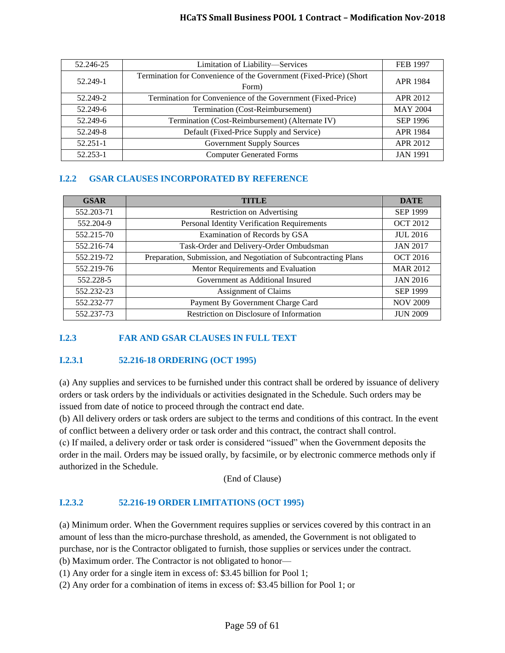#### **HCaTS Small Business POOL 1 Contract – Modification Nov-2018**

| 52.246-25 | Limitation of Liability-Services                                            | <b>FEB 1997</b> |
|-----------|-----------------------------------------------------------------------------|-----------------|
| 52.249-1  | Termination for Convenience of the Government (Fixed-Price) (Short<br>Form) | APR 1984        |
| 52.249-2  | Termination for Convenience of the Government (Fixed-Price)                 | APR 2012        |
| 52.249-6  | Termination (Cost-Reimbursement)                                            | <b>MAY 2004</b> |
| 52.249-6  | Termination (Cost-Reimbursement) (Alternate IV)                             | <b>SEP 1996</b> |
| 52.249-8  | Default (Fixed-Price Supply and Service)                                    | <b>APR 1984</b> |
| 52.251-1  | <b>Government Supply Sources</b>                                            | <b>APR 2012</b> |
| 52.253-1  | <b>Computer Generated Forms</b>                                             | <b>JAN 1991</b> |

## <span id="page-58-0"></span>**I.2.2 GSAR CLAUSES INCORPORATED BY REFERENCE**

| <b>GSAR</b> | <b>TITLE</b>                                                     | <b>DATE</b>     |
|-------------|------------------------------------------------------------------|-----------------|
| 552.203-71  | <b>Restriction on Advertising</b>                                | <b>SEP 1999</b> |
| 552.204-9   | Personal Identity Verification Requirements                      | <b>OCT 2012</b> |
| 552.215-70  | Examination of Records by GSA                                    | <b>JUL 2016</b> |
| 552.216-74  | Task-Order and Delivery-Order Ombudsman                          | <b>JAN 2017</b> |
| 552.219-72  | Preparation, Submission, and Negotiation of Subcontracting Plans | <b>OCT 2016</b> |
| 552.219-76  | Mentor Requirements and Evaluation                               | <b>MAR 2012</b> |
| 552.228-5   | Government as Additional Insured                                 | <b>JAN 2016</b> |
| 552.232-23  | Assignment of Claims                                             | <b>SEP 1999</b> |
| 552.232-77  | Payment By Government Charge Card                                | <b>NOV 2009</b> |
| 552.237-73  | Restriction on Disclosure of Information                         | <b>JUN 2009</b> |

# <span id="page-58-1"></span>**I.2.3 FAR AND GSAR CLAUSES IN FULL TEXT**

#### <span id="page-58-2"></span>**I.2.3.1 52.216-18 ORDERING (OCT 1995)**

(a) Any supplies and services to be furnished under this contract shall be ordered by issuance of delivery orders or task orders by the individuals or activities designated in the Schedule. Such orders may be issued from date of notice to proceed through the contract end date.

(b) All delivery orders or task orders are subject to the terms and conditions of this contract. In the event of conflict between a delivery order or task order and this contract, the contract shall control.

(c) If mailed, a delivery order or task order is considered "issued" when the Government deposits the order in the mail. Orders may be issued orally, by facsimile, or by electronic commerce methods only if authorized in the Schedule.

(End of Clause)

#### <span id="page-58-3"></span>**I.2.3.2 52.216-19 ORDER LIMITATIONS (OCT 1995)**

(a) Minimum order. When the Government requires supplies or services covered by this contract in an amount of less than the micro-purchase threshold, as amended, the Government is not obligated to purchase, nor is the Contractor obligated to furnish, those supplies or services under the contract.

(b) Maximum order. The Contractor is not obligated to honor—

(1) Any order for a single item in excess of: \$3.45 billion for Pool 1;

(2) Any order for a combination of items in excess of: \$3.45 billion for Pool 1; or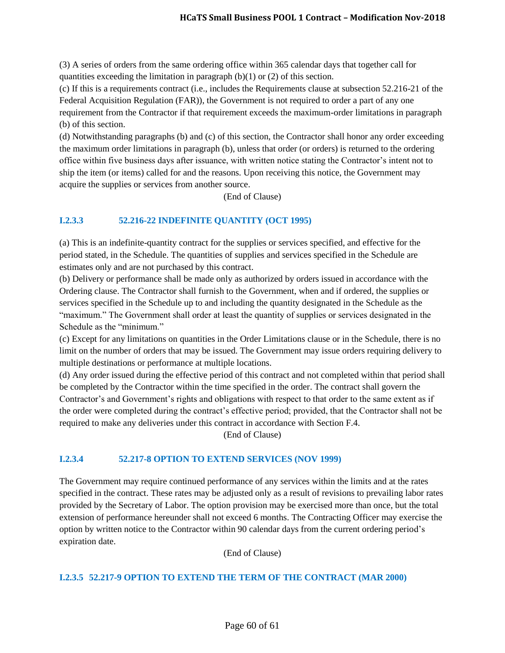(3) A series of orders from the same ordering office within 365 calendar days that together call for quantities exceeding the limitation in paragraph  $(b)(1)$  or  $(2)$  of this section.

(c) If this is a requirements contract (i.e., includes the Requirements clause at subsection 52.216-21 of the Federal Acquisition Regulation (FAR)), the Government is not required to order a part of any one requirement from the Contractor if that requirement exceeds the maximum-order limitations in paragraph (b) of this section.

(d) Notwithstanding paragraphs (b) and (c) of this section, the Contractor shall honor any order exceeding the maximum order limitations in paragraph (b), unless that order (or orders) is returned to the ordering office within five business days after issuance, with written notice stating the Contractor's intent not to ship the item (or items) called for and the reasons. Upon receiving this notice, the Government may acquire the supplies or services from another source.

(End of Clause)

# <span id="page-59-0"></span>**I.2.3.3 52.216-22 INDEFINITE QUANTITY (OCT 1995)**

(a) This is an indefinite-quantity contract for the supplies or services specified, and effective for the period stated, in the Schedule. The quantities of supplies and services specified in the Schedule are estimates only and are not purchased by this contract.

(b) Delivery or performance shall be made only as authorized by orders issued in accordance with the Ordering clause. The Contractor shall furnish to the Government, when and if ordered, the supplies or services specified in the Schedule up to and including the quantity designated in the Schedule as the "maximum." The Government shall order at least the quantity of supplies or services designated in the Schedule as the "minimum."

(c) Except for any limitations on quantities in the Order Limitations clause or in the Schedule, there is no limit on the number of orders that may be issued. The Government may issue orders requiring delivery to multiple destinations or performance at multiple locations.

(d) Any order issued during the effective period of this contract and not completed within that period shall be completed by the Contractor within the time specified in the order. The contract shall govern the Contractor's and Government's rights and obligations with respect to that order to the same extent as if the order were completed during the contract's effective period; provided, that the Contractor shall not be required to make any deliveries under this contract in accordance with Section F.4.

(End of Clause)

#### <span id="page-59-1"></span>**I.2.3.4 52.217-8 OPTION TO EXTEND SERVICES (NOV 1999)**

The Government may require continued performance of any services within the limits and at the rates specified in the contract. These rates may be adjusted only as a result of revisions to prevailing labor rates provided by the Secretary of Labor. The option provision may be exercised more than once, but the total extension of performance hereunder shall not exceed 6 months. The Contracting Officer may exercise the option by written notice to the Contractor within 90 calendar days from the current ordering period's expiration date.

(End of Clause)

#### <span id="page-59-2"></span>**I.2.3.5 52.217-9 OPTION TO EXTEND THE TERM OF THE CONTRACT (MAR 2000)**